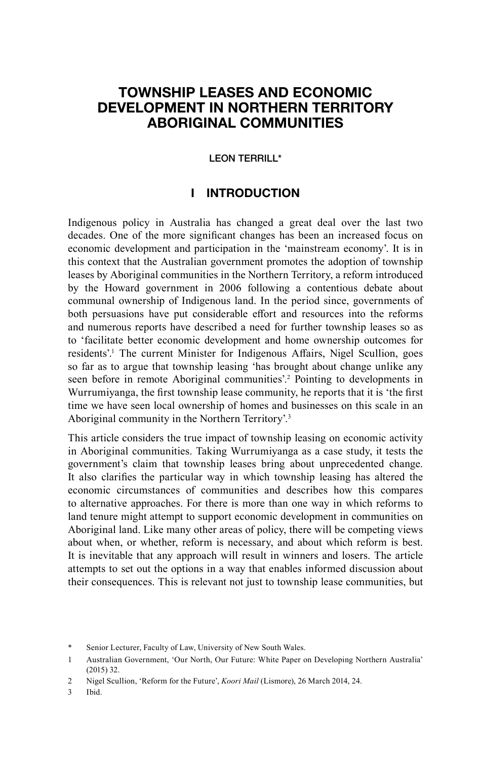# **TOWNSHIP LEASES AND ECONOMIC DEVELOPMENT IN NORTHERN TERRITORY ABORIGINAL COMMUNITIES**

#### **LEON TERRILL\***

### **I INTRODUCTION**

Indigenous policy in Australia has changed a great deal over the last two decades. One of the more significant changes has been an increased focus on economic development and participation in the 'mainstream economy'. It is in this context that the Australian government promotes the adoption of township leases by Aboriginal communities in the Northern Territory, a reform introduced by the Howard government in 2006 following a contentious debate about communal ownership of Indigenous land. In the period since, governments of both persuasions have put considerable effort and resources into the reforms and numerous reports have described a need for further township leases so as to 'facilitate better economic development and home ownership outcomes for residents'.<sup>1</sup> The current Minister for Indigenous Affairs, Nigel Scullion, goes so far as to argue that township leasing 'has brought about change unlike any seen before in remote Aboriginal communities'.<sup>2</sup> Pointing to developments in Wurrumiyanga, the first township lease community, he reports that it is 'the first time we have seen local ownership of homes and businesses on this scale in an Aboriginal community in the Northern Territory'. 3

This article considers the true impact of township leasing on economic activity in Aboriginal communities. Taking Wurrumiyanga as a case study, it tests the government's claim that township leases bring about unprecedented change. It also clarifies the particular way in which township leasing has altered the economic circumstances of communities and describes how this compares to alternative approaches. For there is more than one way in which reforms to land tenure might attempt to support economic development in communities on Aboriginal land. Like many other areas of policy, there will be competing views about when, or whether, reform is necessary, and about which reform is best. It is inevitable that any approach will result in winners and losers. The article attempts to set out the options in a way that enables informed discussion about their consequences. This is relevant not just to township lease communities, but

3 Ibid.

Senior Lecturer, Faculty of Law, University of New South Wales.

<sup>1</sup> Australian Government, 'Our North, Our Future: White Paper on Developing Northern Australia' (2015) 32.

<sup>2</sup> Nigel Scullion, 'Reform for the Future', *Koori Mail* (Lismore), 26 March 2014, 24.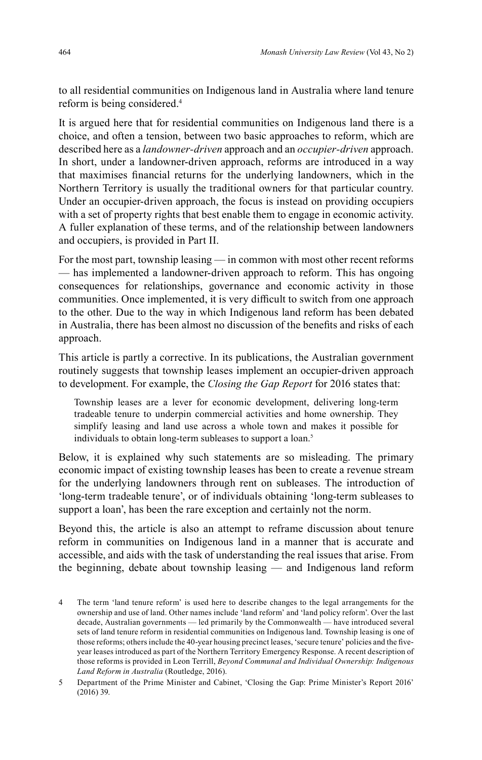to all residential communities on Indigenous land in Australia where land tenure reform is being considered.4

It is argued here that for residential communities on Indigenous land there is a choice, and often a tension, between two basic approaches to reform, which are described here as a *landowner-driven* approach and an *occupier-driven* approach. In short, under a landowner-driven approach, reforms are introduced in a way that maximises financial returns for the underlying landowners, which in the Northern Territory is usually the traditional owners for that particular country. Under an occupier-driven approach, the focus is instead on providing occupiers with a set of property rights that best enable them to engage in economic activity. A fuller explanation of these terms, and of the relationship between landowners and occupiers, is provided in Part II.

For the most part, township leasing — in common with most other recent reforms — has implemented a landowner-driven approach to reform. This has ongoing consequences for relationships, governance and economic activity in those communities. Once implemented, it is very difficult to switch from one approach to the other. Due to the way in which Indigenous land reform has been debated in Australia, there has been almost no discussion of the benefits and risks of each approach.

This article is partly a corrective. In its publications, the Australian government routinely suggests that township leases implement an occupier-driven approach to development. For example, the *Closing the Gap Report* for 2016 states that:

Township leases are a lever for economic development, delivering long-term tradeable tenure to underpin commercial activities and home ownership. They simplify leasing and land use across a whole town and makes it possible for individuals to obtain long-term subleases to support a loan.<sup>5</sup>

Below, it is explained why such statements are so misleading. The primary economic impact of existing township leases has been to create a revenue stream for the underlying landowners through rent on subleases. The introduction of 'long-term tradeable tenure', or of individuals obtaining 'long-term subleases to support a loan', has been the rare exception and certainly not the norm.

Beyond this, the article is also an attempt to reframe discussion about tenure reform in communities on Indigenous land in a manner that is accurate and accessible, and aids with the task of understanding the real issues that arise. From the beginning, debate about township leasing — and Indigenous land reform

<sup>4</sup> The term 'land tenure reform' is used here to describe changes to the legal arrangements for the ownership and use of land. Other names include 'land reform' and 'land policy reform'. Over the last decade, Australian governments — led primarily by the Commonwealth — have introduced several sets of land tenure reform in residential communities on Indigenous land. Township leasing is one of those reforms; others include the 40-year housing precinct leases, 'secure tenure' policies and the fiveyear leases introduced as part of the Northern Territory Emergency Response. A recent description of those reforms is provided in Leon Terrill, *Beyond Communal and Individual Ownership: Indigenous Land Reform in Australia* (Routledge, 2016).

<sup>5</sup> Department of the Prime Minister and Cabinet, 'Closing the Gap: Prime Minister's Report 2016' (2016) 39.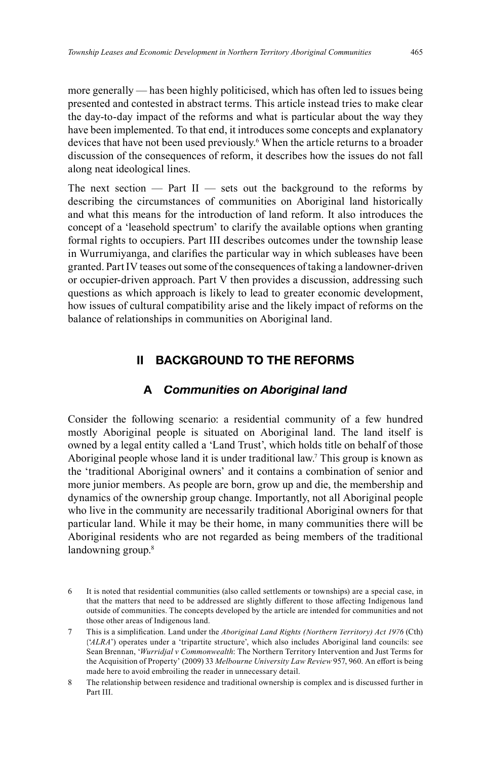more generally — has been highly politicised, which has often led to issues being presented and contested in abstract terms. This article instead tries to make clear the day-to-day impact of the reforms and what is particular about the way they have been implemented. To that end, it introduces some concepts and explanatory devices that have not been used previously. <sup>6</sup> When the article returns to a broader discussion of the consequences of reform, it describes how the issues do not fall along neat ideological lines.

The next section  $-$  Part II  $-$  sets out the background to the reforms by describing the circumstances of communities on Aboriginal land historically and what this means for the introduction of land reform. It also introduces the concept of a 'leasehold spectrum' to clarify the available options when granting formal rights to occupiers. Part III describes outcomes under the township lease in Wurrumiyanga, and clarifies the particular way in which subleases have been granted. Part IV teases out some of the consequences of taking a landowner-driven or occupier-driven approach. Part V then provides a discussion, addressing such questions as which approach is likely to lead to greater economic development, how issues of cultural compatibility arise and the likely impact of reforms on the balance of relationships in communities on Aboriginal land.

### **II BACKGROUND TO THE REFORMS**

### **A** *Communities on Aboriginal land*

Consider the following scenario: a residential community of a few hundred mostly Aboriginal people is situated on Aboriginal land. The land itself is owned by a legal entity called a 'Land Trust', which holds title on behalf of those Aboriginal people whose land it is under traditional law. 7 This group is known as the 'traditional Aboriginal owners' and it contains a combination of senior and more junior members. As people are born, grow up and die, the membership and dynamics of the ownership group change. Importantly, not all Aboriginal people who live in the community are necessarily traditional Aboriginal owners for that particular land. While it may be their home, in many communities there will be Aboriginal residents who are not regarded as being members of the traditional landowning group. 8

<sup>6</sup> It is noted that residential communities (also called settlements or townships) are a special case, in that the matters that need to be addressed are slightly different to those affecting Indigenous land outside of communities. The concepts developed by the article are intended for communities and not those other areas of Indigenous land.

<sup>7</sup> This is a simplification. Land under the *Aboriginal Land Rights (Northern Territory) Act 1976* (Cth) ('*ALRA*') operates under a 'tripartite structure', which also includes Aboriginal land councils: see Sean Brennan, '*Wurridjal v Commonwealth*: The Northern Territory Intervention and Just Terms for the Acquisition of Property' (2009) 33 Melbourne University Law Review 957, 960. An effort is being made here to avoid embroiling the reader in unnecessary detail.

<sup>8</sup> The relationship between residence and traditional ownership is complex and is discussed further in Part III.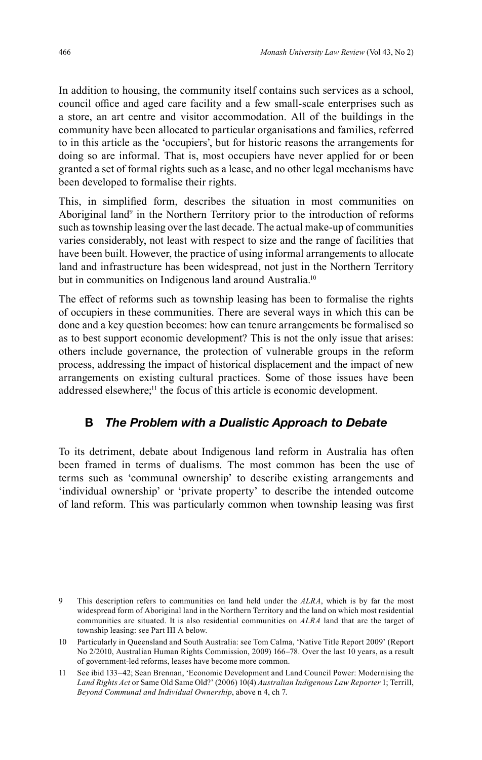In addition to housing, the community itself contains such services as a school, council office and aged care facility and a few small-scale enterprises such as a store, an art centre and visitor accommodation. All of the buildings in the community have been allocated to particular organisations and families, referred to in this article as the 'occupiers', but for historic reasons the arrangements for doing so are informal. That is, most occupiers have never applied for or been granted a set of formal rights such as a lease, and no other legal mechanisms have been developed to formalise their rights.

This, in simplified form, describes the situation in most communities on Aboriginal land<sup>9</sup> in the Northern Territory prior to the introduction of reforms such as township leasing over the last decade. The actual make-up of communities varies considerably, not least with respect to size and the range of facilities that have been built. However, the practice of using informal arrangements to allocate land and infrastructure has been widespread, not just in the Northern Territory but in communities on Indigenous land around Australia.<sup>10</sup>

The effect of reforms such as township leasing has been to formalise the rights of occupiers in these communities. There are several ways in which this can be done and a key question becomes: how can tenure arrangements be formalised so as to best support economic development? This is not the only issue that arises: others include governance, the protection of vulnerable groups in the reform process, addressing the impact of historical displacement and the impact of new arrangements on existing cultural practices. Some of those issues have been addressed elsewhere;<sup>11</sup> the focus of this article is economic development.

### **B** *The Problem with a Dualistic Approach to Debate*

To its detriment, debate about Indigenous land reform in Australia has often been framed in terms of dualisms. The most common has been the use of terms such as 'communal ownership' to describe existing arrangements and 'individual ownership' or 'private property' to describe the intended outcome of land reform. This was particularly common when township leasing was first

<sup>9</sup> This description refers to communities on land held under the *ALRA*, which is by far the most widespread form of Aboriginal land in the Northern Territory and the land on which most residential communities are situated. It is also residential communities on *ALRA* land that are the target of township leasing: see Part III A below.

<sup>10</sup> Particularly in Queensland and South Australia: see Tom Calma, 'Native Title Report 2009' (Report No 2/2010, Australian Human Rights Commission, 2009) 166–78. Over the last 10 years, as a result of government-led reforms, leases have become more common.

<sup>11</sup> See ibid 133–42; Sean Brennan, 'Economic Development and Land Council Power: Modernising the *Land Rights Act* or Same Old Same Old?' (2006) 10(4) *Australian Indigenous Law Reporter* 1; Terrill, *Beyond Communal and Individual Ownership*, above n 4, ch 7.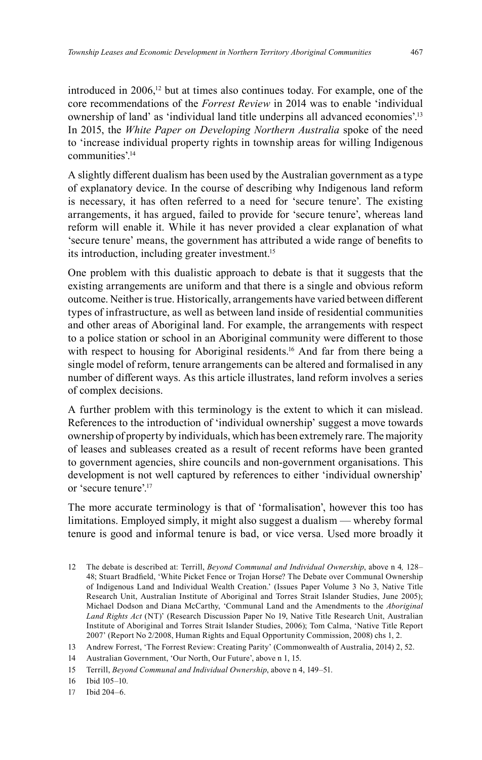introduced in 2006, 12 but at times also continues today. For example, one of the core recommendations of the *Forrest Review* in 2014 was to enable 'individual ownership of land' as 'individual land title underpins all advanced economies'. 13 In 2015, the *White Paper on Developing Northern Australia* spoke of the need to 'increase individual property rights in township areas for willing Indigenous communities'. 14

A slightly different dualism has been used by the Australian government as a type of explanatory device. In the course of describing why Indigenous land reform is necessary, it has often referred to a need for 'secure tenure'. The existing arrangements, it has argued, failed to provide for 'secure tenure', whereas land reform will enable it. While it has never provided a clear explanation of what 'secure tenure' means, the government has attributed a wide range of benefits to its introduction, including greater investment. 15

One problem with this dualistic approach to debate is that it suggests that the existing arrangements are uniform and that there is a single and obvious reform outcome. Neither is true. Historically, arrangements have varied between different types of infrastructure, as well as between land inside of residential communities and other areas of Aboriginal land. For example, the arrangements with respect to a police station or school in an Aboriginal community were different to those with respect to housing for Aboriginal residents.<sup>16</sup> And far from there being a single model of reform, tenure arrangements can be altered and formalised in any number of different ways. As this article illustrates, land reform involves a series of complex decisions.

A further problem with this terminology is the extent to which it can mislead. References to the introduction of 'individual ownership' suggest a move towards ownership of property by individuals, which has been extremely rare. The majority of leases and subleases created as a result of recent reforms have been granted to government agencies, shire councils and non-government organisations. This development is not well captured by references to either 'individual ownership' or 'secure tenure'. 17

The more accurate terminology is that of 'formalisation', however this too has limitations. Employed simply, it might also suggest a dualism — whereby formal tenure is good and informal tenure is bad, or vice versa. Used more broadly it

17 Ibid 204–6.

<sup>12</sup> The debate is described at: Terrill, *Beyond Communal and Individual Ownership*, above n 4*,* 128– 48; Stuart Bradfield, 'White Picket Fence or Trojan Horse? The Debate over Communal Ownership of Indigenous Land and Individual Wealth Creation.' (Issues Paper Volume 3 No 3, Native Title Research Unit, Australian Institute of Aboriginal and Torres Strait Islander Studies, June 2005); Michael Dodson and Diana McCarthy, 'Communal Land and the Amendments to the *Aboriginal Land Rights Act* (NT)' (Research Discussion Paper No 19, Native Title Research Unit, Australian Institute of Aboriginal and Torres Strait Islander Studies, 2006); Tom Calma, 'Native Title Report 2007' (Report No 2/2008, Human Rights and Equal Opportunity Commission, 2008) chs 1, 2.

<sup>13</sup> Andrew Forrest, 'The Forrest Review: Creating Parity' (Commonwealth of Australia, 2014) 2, 52.

<sup>14</sup> Australian Government, 'Our North, Our Future', above n 1, 15.

<sup>15</sup> Terrill, *Beyond Communal and Individual Ownership*, above n 4, 149–51.

<sup>16</sup> Ibid 105–10.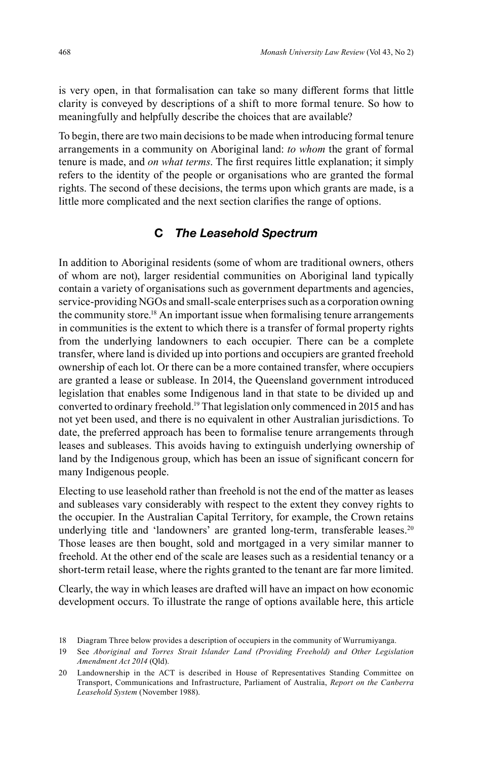is very open, in that formalisation can take so many different forms that little clarity is conveyed by descriptions of a shift to more formal tenure. So how to meaningfully and helpfully describe the choices that are available?

To begin, there are two main decisions to be made when introducing formal tenure arrangements in a community on Aboriginal land: *to whom* the grant of formal tenure is made, and *on what terms*. The first requires little explanation; it simply refers to the identity of the people or organisations who are granted the formal rights. The second of these decisions, the terms upon which grants are made, is a little more complicated and the next section clarifies the range of options.

### **C** *The Leasehold Spectrum*

In addition to Aboriginal residents (some of whom are traditional owners, others of whom are not), larger residential communities on Aboriginal land typically contain a variety of organisations such as government departments and agencies, service-providing NGOs and small-scale enterprises such as a corporation owning the community store.<sup>18</sup> An important issue when formalising tenure arrangements in communities is the extent to which there is a transfer of formal property rights from the underlying landowners to each occupier. There can be a complete transfer, where land is divided up into portions and occupiers are granted freehold ownership of each lot. Or there can be a more contained transfer, where occupiers are granted a lease or sublease. In 2014, the Queensland government introduced legislation that enables some Indigenous land in that state to be divided up and converted to ordinary freehold. 19 That legislation only commenced in 2015 and has not yet been used, and there is no equivalent in other Australian jurisdictions. To date, the preferred approach has been to formalise tenure arrangements through leases and subleases. This avoids having to extinguish underlying ownership of land by the Indigenous group, which has been an issue of significant concern for many Indigenous people.

Electing to use leasehold rather than freehold is not the end of the matter as leases and subleases vary considerably with respect to the extent they convey rights to the occupier. In the Australian Capital Territory, for example, the Crown retains underlying title and 'landowners' are granted long-term, transferable leases.<sup>20</sup> Those leases are then bought, sold and mortgaged in a very similar manner to freehold. At the other end of the scale are leases such as a residential tenancy or a short-term retail lease, where the rights granted to the tenant are far more limited.

Clearly, the way in which leases are drafted will have an impact on how economic development occurs. To illustrate the range of options available here, this article

<sup>18</sup> Diagram Three below provides a description of occupiers in the community of Wurrumiyanga.

<sup>19</sup> See *Aboriginal and Torres Strait Islander Land (Providing Freehold) and Other Legislation Amendment Act 2014* (Qld).

<sup>20</sup> Landownership in the ACT is described in House of Representatives Standing Committee on Transport, Communications and Infrastructure, Parliament of Australia, *Report on the Canberra Leasehold System* (November 1988).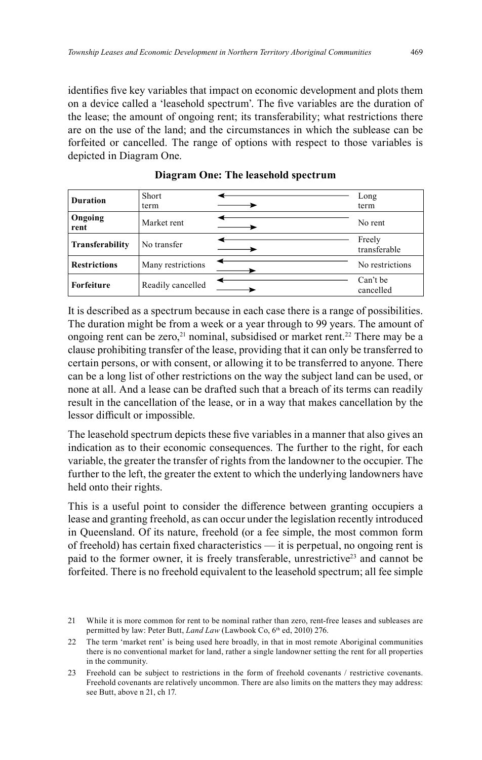identifies five key variables that impact on economic development and plots them on a device called a 'leasehold spectrum'. The five variables are the duration of the lease; the amount of ongoing rent; its transferability; what restrictions there are on the use of the land; and the circumstances in which the sublease can be forfeited or cancelled. The range of options with respect to those variables is depicted in Diagram One.

| <b>Duration</b>     | Short<br>term     | Long<br>term           |
|---------------------|-------------------|------------------------|
| Ongoing<br>rent     | Market rent       | No rent                |
| Transferability     | No transfer       | Freely<br>transferable |
| <b>Restrictions</b> | Many restrictions | No restrictions        |
| <b>Forfeiture</b>   | Readily cancelled | Can't be<br>cancelled  |

**Diagram One: The leasehold spectrum**

It is described as a spectrum because in each case there is a range of possibilities. The duration might be from a week or a year through to 99 years. The amount of ongoing rent can be zero, $^{21}$  nominal, subsidised or market rent. $^{22}$  There may be a clause prohibiting transfer of the lease, providing that it can only be transferred to certain persons, or with consent, or allowing it to be transferred to anyone. There can be a long list of other restrictions on the way the subject land can be used, or none at all. And a lease can be drafted such that a breach of its terms can readily result in the cancellation of the lease, or in a way that makes cancellation by the lessor difficult or impossible.

The leasehold spectrum depicts these five variables in a manner that also gives an indication as to their economic consequences. The further to the right, for each variable, the greater the transfer of rights from the landowner to the occupier. The further to the left, the greater the extent to which the underlying landowners have held onto their rights.

This is a useful point to consider the difference between granting occupiers a lease and granting freehold, as can occur under the legislation recently introduced in Queensland. Of its nature, freehold (or a fee simple, the most common form of freehold) has certain fixed characteristics  $-$  it is perpetual, no ongoing rent is paid to the former owner, it is freely transferable, unrestrictive<sup>23</sup> and cannot be forfeited. There is no freehold equivalent to the leasehold spectrum; all fee simple

<sup>21</sup> While it is more common for rent to be nominal rather than zero, rent-free leases and subleases are permitted by law: Peter Butt, *Land Law* (Lawbook Co, 6<sup>th</sup> ed, 2010) 276.

<sup>22</sup> The term 'market rent' is being used here broadly, in that in most remote Aboriginal communities there is no conventional market for land, rather a single landowner setting the rent for all properties in the community.

<sup>23</sup> Freehold can be subject to restrictions in the form of freehold covenants / restrictive covenants. Freehold covenants are relatively uncommon. There are also limits on the matters they may address: see Butt, above n 21, ch 17.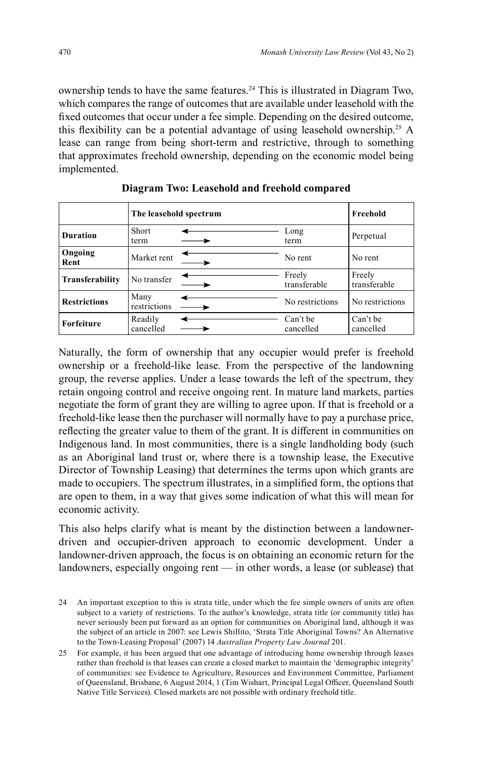ownership tends to have the same features. 24 This is illustrated in Diagram Two, which compares the range of outcomes that are available under leasehold with the fixed outcomes that occur under a fee simple. Depending on the desired outcome, this flexibility can be a potential advantage of using leasehold ownership.<sup>25</sup> A lease can range from being short-term and restrictive, through to something that approximates freehold ownership, depending on the economic model being implemented.

|                     | The leasehold spectrum |  |                        | Freehold               |
|---------------------|------------------------|--|------------------------|------------------------|
| <b>Duration</b>     | Short<br>term          |  | Long<br>term           | Perpetual              |
| Ongoing<br>Rent     | Market rent            |  | No rent                | No rent                |
| Transferability     | No transfer            |  | Freely<br>transferable | Freely<br>transferable |
| <b>Restrictions</b> | Many<br>restrictions   |  | No restrictions        | No restrictions        |
| Forfeiture          | Readily<br>cancelled   |  | Can't be<br>cancelled  | Can't be<br>cancelled  |

**Diagram Two: Leasehold and freehold compared**

Naturally, the form of ownership that any occupier would prefer is freehold ownership or a freehold-like lease. From the perspective of the landowning group, the reverse applies. Under a lease towards the left of the spectrum, they retain ongoing control and receive ongoing rent. In mature land markets, parties negotiate the form of grant they are willing to agree upon. If that is freehold or a freehold-like lease then the purchaser will normally have to pay a purchase price, reflecting the greater value to them of the grant. It is different in communities on Indigenous land. In most communities, there is a single landholding body (such as an Aboriginal land trust or, where there is a township lease, the Executive Director of Township Leasing) that determines the terms upon which grants are made to occupiers. The spectrum illustrates, in a simplified form, the options that are open to them, in a way that gives some indication of what this will mean for economic activity.

This also helps clarify what is meant by the distinction between a landownerdriven and occupier-driven approach to economic development. Under a landowner-driven approach, the focus is on obtaining an economic return for the landowners, especially ongoing rent — in other words, a lease (or sublease) that

<sup>24</sup> An important exception to this is strata title, under which the fee simple owners of units are often subject to a variety of restrictions. To the author's knowledge, strata title (or community title) has never seriously been put forward as an option for communities on Aboriginal land, although it was the subject of an article in 2007: see Lewis Shillito, 'Strata Title Aboriginal Towns? An Alternative to the Town-Leasing Proposal' (2007) 14 *Australian Property Law Journal* 201.

<sup>25</sup> For example, it has been argued that one advantage of introducing home ownership through leases rather than freehold is that leases can create a closed market to maintain the 'demographic integrity' of communities: see Evidence to Agriculture, Resources and Environment Committee, Parliament of Queensland, Brisbane, 6 August 2014, 1 (Tim Wishart, Principal Legal Officer, Queensland South Native Title Services). Closed markets are not possible with ordinary freehold title.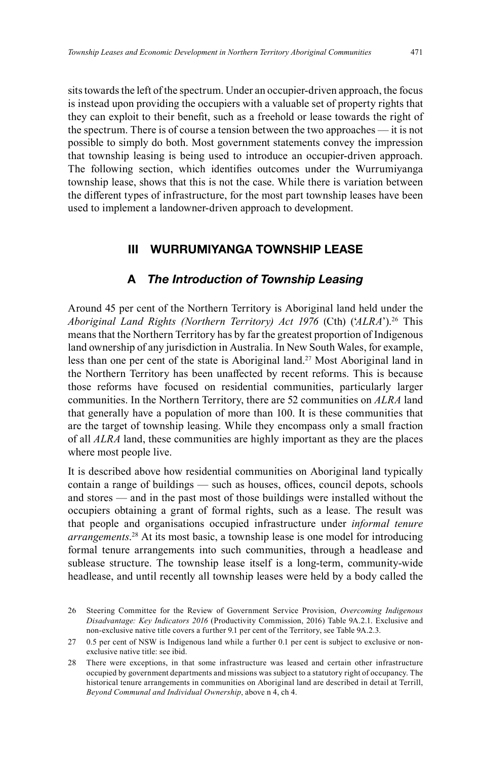sits towards the left of the spectrum. Under an occupier-driven approach, the focus is instead upon providing the occupiers with a valuable set of property rights that they can exploit to their benefit, such as a freehold or lease towards the right of the spectrum. There is of course a tension between the two approaches — it is not possible to simply do both. Most government statements convey the impression that township leasing is being used to introduce an occupier-driven approach. The following section, which identifies outcomes under the Wurrumiyanga township lease, shows that this is not the case. While there is variation between the different types of infrastructure, for the most part township leases have been used to implement a landowner-driven approach to development.

### **III WURRUMIYANGA TOWNSHIP LEASE**

#### **A** *The Introduction of Township Leasing*

Around 45 per cent of the Northern Territory is Aboriginal land held under the *Aboriginal Land Rights (Northern Territory) Act 1976* (Cth) ('*ALRA*').26 This means that the Northern Territory has by far the greatest proportion of Indigenous land ownership of any jurisdiction in Australia. In New South Wales, for example, less than one per cent of the state is Aboriginal land. 27 Most Aboriginal land in the Northern Territory has been unaffected by recent reforms. This is because those reforms have focused on residential communities, particularly larger communities. In the Northern Territory, there are 52 communities on *ALRA* land that generally have a population of more than 100. It is these communities that are the target of township leasing. While they encompass only a small fraction of all *ALRA* land, these communities are highly important as they are the places where most people live.

It is described above how residential communities on Aboriginal land typically contain a range of buildings  $-$  such as houses, offices, council depots, schools and stores — and in the past most of those buildings were installed without the occupiers obtaining a grant of formal rights, such as a lease. The result was that people and organisations occupied infrastructure under *informal tenure arrangements*. 28 At its most basic, a township lease is one model for introducing formal tenure arrangements into such communities, through a headlease and sublease structure. The township lease itself is a long-term, community-wide headlease, and until recently all township leases were held by a body called the

<sup>26</sup> Steering Committee for the Review of Government Service Provision, *Overcoming Indigenous Disadvantage: Key Indicators 2016* (Productivity Commission, 2016) Table 9A.2.1. Exclusive and non-exclusive native title covers a further 9.1 per cent of the Territory, see Table 9A.2.3.

<sup>27 0.5</sup> per cent of NSW is Indigenous land while a further 0.1 per cent is subject to exclusive or nonexclusive native title: see ibid.

<sup>28</sup> There were exceptions, in that some infrastructure was leased and certain other infrastructure occupied by government departments and missions was subject to a statutory right of occupancy. The historical tenure arrangements in communities on Aboriginal land are described in detail at Terrill, *Beyond Communal and Individual Ownership*, above n 4, ch 4.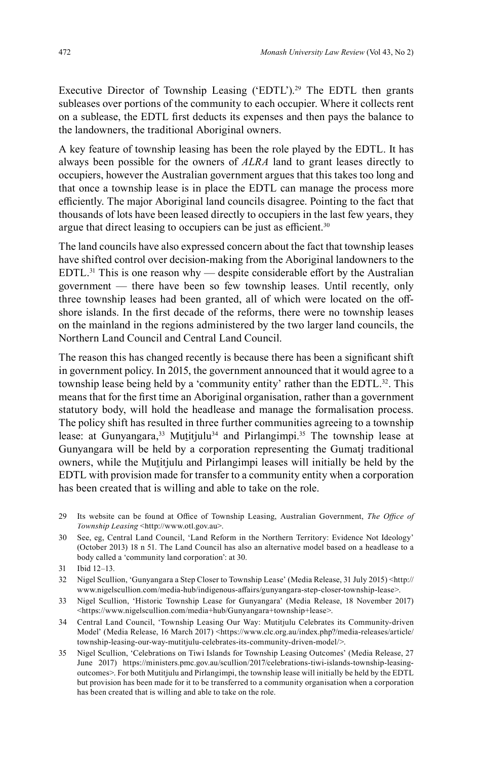Executive Director of Township Leasing ('EDTL'). 29 The EDTL then grants subleases over portions of the community to each occupier. Where it collects rent on a sublease, the EDTL first deducts its expenses and then pays the balance to the landowners, the traditional Aboriginal owners.

A key feature of township leasing has been the role played by the EDTL. It has always been possible for the owners of *ALRA* land to grant leases directly to occupiers, however the Australian government argues that this takes too long and that once a township lease is in place the EDTL can manage the process more efficiently. The major Aboriginal land councils disagree. Pointing to the fact that thousands of lots have been leased directly to occupiers in the last few years, they argue that direct leasing to occupiers can be just as efficient. $30$ 

The land councils have also expressed concern about the fact that township leases have shifted control over decision-making from the Aboriginal landowners to the  $EDTL$ <sup>31</sup> This is one reason why — despite considerable effort by the Australian government — there have been so few township leases. Until recently, only three township leases had been granted, all of which were located on the offshore islands. In the first decade of the reforms, there were no township leases on the mainland in the regions administered by the two larger land councils, the Northern Land Council and Central Land Council.

The reason this has changed recently is because there has been a significant shift in government policy. In 2015, the government announced that it would agree to a township lease being held by a 'community entity' rather than the EDTL. 32. This means that for the first time an Aboriginal organisation, rather than a government statutory body, will hold the headlease and manage the formalisation process. The policy shift has resulted in three further communities agreeing to a township lease: at Gunyangara,<sup>33</sup> Mutitjulu<sup>34</sup> and Pirlangimpi.<sup>35</sup> The township lease at Gunyangara will be held by a corporation representing the Gumatj traditional owners, while the Mutitjulu and Pirlangimpi leases will initially be held by the EDTL with provision made for transfer to a community entity when a corporation has been created that is willing and able to take on the role.

- 29 Its website can be found at Office of Township Leasing, Australian Government, *The Office of Township Leasing* <http://www.otl.gov.au>.
- 30 See, eg, Central Land Council, 'Land Reform in the Northern Territory: Evidence Not Ideology' (October 2013) 18 n 51. The Land Council has also an alternative model based on a headlease to a body called a 'community land corporation': at 30.
- 31 Ibid 12–13.
- 32 Nigel Scullion, 'Gunyangara a Step Closer to Township Lease' (Media Release, 31 July 2015) <http:// www.nigelscullion.com/media-hub/indigenous-affairs/gunyangara-step-closer-township-lease>.
- 33 Nigel Scullion, 'Historic Township Lease for Gunyangara' (Media Release, 18 November 2017) <https://www.nigelscullion.com/media+hub/Gunyangara+township+lease>.
- 34 Central Land Council, 'Township Leasing Our Way: Mutitjulu Celebrates its Community-driven Model' (Media Release, 16 March 2017) <https://www.clc.org.au/index.php?/media-releases/article/ township-leasing-our-way-mutitjulu-celebrates-its-community-driven-model/>.
- 35 Nigel Scullion, 'Celebrations on Tiwi Islands for Township Leasing Outcomes' (Media Release, 27 June 2017) https://ministers.pmc.gov.au/scullion/2017/celebrations-tiwi-islands-township-leasingoutcomes>. For both Mutitjulu and Pirlangimpi, the township lease will initially be held by the EDTL but provision has been made for it to be transferred to a community organisation when a corporation has been created that is willing and able to take on the role.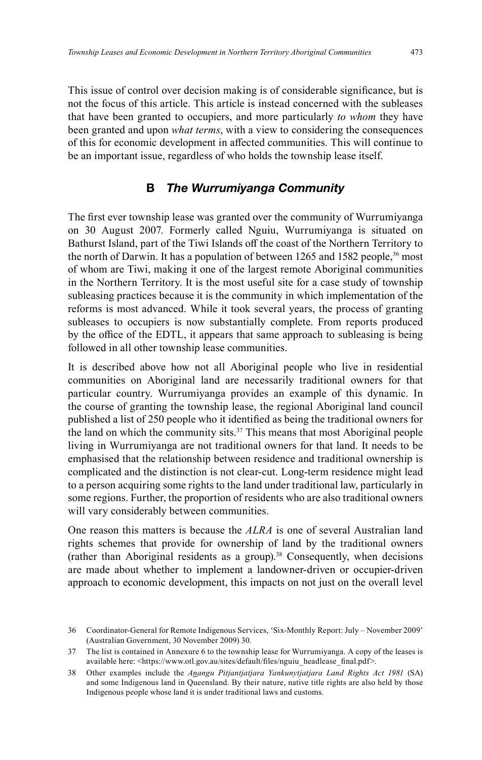This issue of control over decision making is of considerable significance, but is not the focus of this article. This article is instead concerned with the subleases that have been granted to occupiers, and more particularly *to whom* they have been granted and upon *what terms*, with a view to considering the consequences of this for economic development in affected communities. This will continue to be an important issue, regardless of who holds the township lease itself.

### **B** *The Wurrumiyanga Community*

The first ever township lease was granted over the community of Wurrumiyanga on 30 August 2007. Formerly called Nguiu, Wurrumiyanga is situated on Bathurst Island, part of the Tiwi Islands off the coast of the Northern Territory to the north of Darwin. It has a population of between 1265 and 1582 people,<sup>36</sup> most of whom are Tiwi, making it one of the largest remote Aboriginal communities in the Northern Territory. It is the most useful site for a case study of township subleasing practices because it is the community in which implementation of the reforms is most advanced. While it took several years, the process of granting subleases to occupiers is now substantially complete. From reports produced by the office of the EDTL, it appears that same approach to subleasing is being followed in all other township lease communities.

It is described above how not all Aboriginal people who live in residential communities on Aboriginal land are necessarily traditional owners for that particular country. Wurrumiyanga provides an example of this dynamic. In the course of granting the township lease, the regional Aboriginal land council published a list of 250 people who it identified as being the traditional owners for the land on which the community sits. 37 This means that most Aboriginal people living in Wurrumiyanga are not traditional owners for that land. It needs to be emphasised that the relationship between residence and traditional ownership is complicated and the distinction is not clear-cut. Long-term residence might lead to a person acquiring some rights to the land under traditional law, particularly in some regions. Further, the proportion of residents who are also traditional owners will vary considerably between communities.

One reason this matters is because the *ALRA* is one of several Australian land rights schemes that provide for ownership of land by the traditional owners (rather than Aboriginal residents as a group). 38 Consequently, when decisions are made about whether to implement a landowner-driven or occupier-driven approach to economic development, this impacts on not just on the overall level

<sup>36</sup> Coordinator-General for Remote Indigenous Services, 'Six-Monthly Report: July – November 2009' (Australian Government, 30 November 2009) 30.

<sup>37</sup> The list is contained in Annexure 6 to the township lease for Wurrumiyanga. A copy of the leases is available here: <https://www.otl.gov.au/sites/default/files/nguiu\_headlease\_final.pdf>.

<sup>38</sup> Other examples include the *Anangu Pitjantjatjara Yankunytjatjara Land Rights Act 1981* (SA) and some Indigenous land in Queensland. By their nature, native title rights are also held by those Indigenous people whose land it is under traditional laws and customs.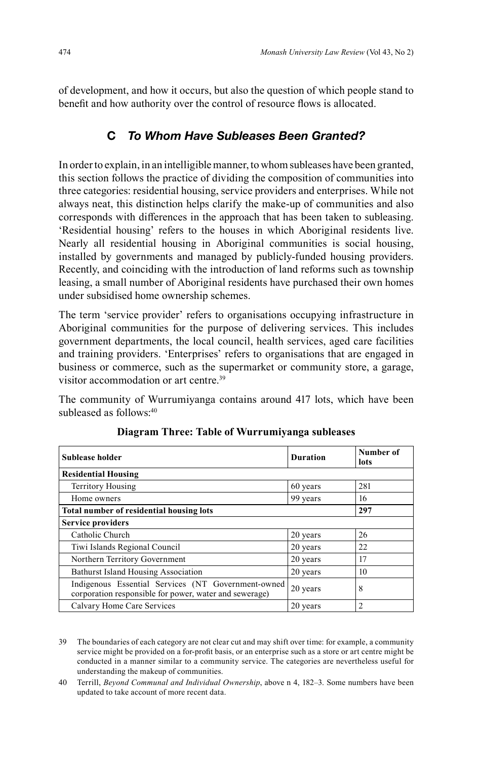of development, and how it occurs, but also the question of which people stand to benefit and how authority over the control of resource flows is allocated.

### **C** *To Whom Have Subleases Been Granted?*

In order to explain, in an intelligible manner, to whom subleases have been granted, this section follows the practice of dividing the composition of communities into three categories: residential housing, service providers and enterprises. While not always neat, this distinction helps clarify the make-up of communities and also corresponds with differences in the approach that has been taken to subleasing. 'Residential housing' refers to the houses in which Aboriginal residents live. Nearly all residential housing in Aboriginal communities is social housing, installed by governments and managed by publicly-funded housing providers. Recently, and coinciding with the introduction of land reforms such as township leasing, a small number of Aboriginal residents have purchased their own homes under subsidised home ownership schemes.

The term 'service provider' refers to organisations occupying infrastructure in Aboriginal communities for the purpose of delivering services. This includes government departments, the local council, health services, aged care facilities and training providers. 'Enterprises' refers to organisations that are engaged in business or commerce, such as the supermarket or community store, a garage, visitor accommodation or art centre.<sup>39</sup>

The community of Wurrumiyanga contains around 417 lots, which have been subleased as follows:<sup>40</sup>

| Sublease holder                                                                                              | <b>Duration</b> | Number of<br>lots |
|--------------------------------------------------------------------------------------------------------------|-----------------|-------------------|
| <b>Residential Housing</b>                                                                                   |                 |                   |
| <b>Territory Housing</b>                                                                                     | 60 years        | 281               |
| Home owners                                                                                                  | 99 years        | 16                |
| Total number of residential housing lots                                                                     |                 | 297               |
| <b>Service providers</b>                                                                                     |                 |                   |
| Catholic Church                                                                                              | 20 years        | 26                |
| Tiwi Islands Regional Council                                                                                | 20 years        | 22                |
| Northern Territory Government                                                                                | 20 years        | 17                |
| Bathurst Island Housing Association                                                                          | 20 years        | 10                |
| Indigenous Essential Services (NT Government-owned<br>corporation responsible for power, water and sewerage) | 20 years        | 8                 |
| Calvary Home Care Services                                                                                   | 20 years        | $\overline{2}$    |

|  | Diagram Three: Table of Wurrumiyanga subleases |  |
|--|------------------------------------------------|--|
|  |                                                |  |

39 The boundaries of each category are not clear cut and may shift over time: for example, a community service might be provided on a for-profit basis, or an enterprise such as a store or art centre might be conducted in a manner similar to a community service. The categories are nevertheless useful for understanding the makeup of communities.

<sup>40</sup> Terrill, *Beyond Communal and Individual Ownership*, above n 4, 182–3. Some numbers have been updated to take account of more recent data.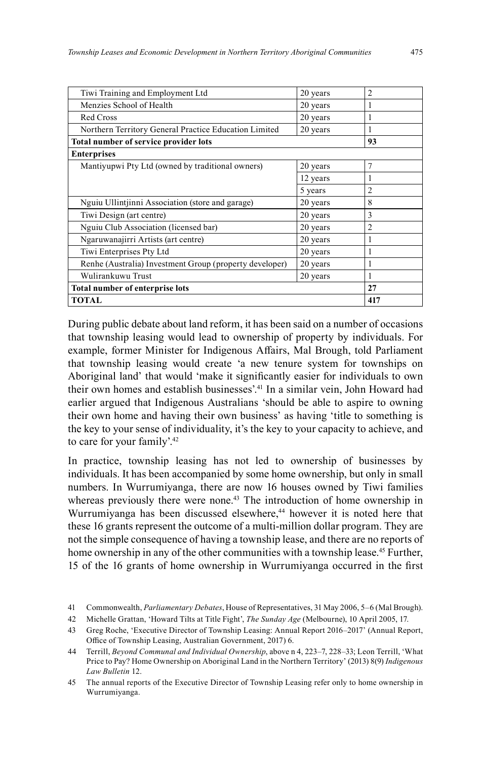| Tiwi Training and Employment Ltd                        | 20 years | $\overline{2}$ |
|---------------------------------------------------------|----------|----------------|
| Menzies School of Health                                | 20 years |                |
| Red Cross                                               | 20 years |                |
| Northern Territory General Practice Education Limited   | 20 years |                |
| Total number of service provider lots                   |          | 93             |
| <b>Enterprises</b>                                      |          |                |
| Mantiyupwi Pty Ltd (owned by traditional owners)        | 20 years | $\overline{7}$ |
|                                                         | 12 years |                |
|                                                         | 5 years  | $\overline{2}$ |
| Nguiu Ullintiinni Association (store and garage)        | 20 years | 8              |
| Tiwi Design (art centre)                                | 20 years | 3              |
| Nguiu Club Association (licensed bar)                   | 20 years | $\overline{2}$ |
| Ngaruwanajirri Artists (art centre)                     | 20 years |                |
| Tiwi Enterprises Pty Ltd                                | 20 years |                |
| Renhe (Australia) Investment Group (property developer) | 20 years |                |
| Wulirankuwu Trust                                       | 20 years |                |
| Total number of enterprise lots                         | 27       |                |
| <b>TOTAL</b>                                            | 417      |                |

During public debate about land reform, it has been said on a number of occasions that township leasing would lead to ownership of property by individuals. For example, former Minister for Indigenous Affairs, Mal Brough, told Parliament that township leasing would create 'a new tenure system for townships on Aboriginal land' that would 'make it significantly easier for individuals to own their own homes and establish businesses'. 41 In a similar vein, John Howard had earlier argued that Indigenous Australians 'should be able to aspire to owning their own home and having their own business' as having 'title to something is the key to your sense of individuality, it's the key to your capacity to achieve, and to care for your family'. 42

In practice, township leasing has not led to ownership of businesses by individuals. It has been accompanied by some home ownership, but only in small numbers. In Wurrumiyanga, there are now 16 houses owned by Tiwi families whereas previously there were none.<sup>43</sup> The introduction of home ownership in Wurrumiyanga has been discussed elsewhere,<sup>44</sup> however it is noted here that these 16 grants represent the outcome of a multi-million dollar program. They are not the simple consequence of having a township lease, and there are no reports of home ownership in any of the other communities with a township lease. 45 Further, 15 of the 16 grants of home ownership in Wurrumiyanga occurred in the first

<sup>41</sup> Commonwealth, *Parliamentary Debates*, House of Representatives, 31 May 2006, 5–6 (Mal Brough).

<sup>42</sup> Michelle Grattan, 'Howard Tilts at Title Fight', *The Sunday Age* (Melbourne), 10 April 2005, 17.

<sup>43</sup> Greg Roche, 'Executive Director of Township Leasing: Annual Report 2016–2017' (Annual Report, Office of Township Leasing, Australian Government, 2017) 6.

<sup>44</sup> Terrill, *Beyond Communal and Individual Ownership*, above n 4, 223–7, 228–33; Leon Terrill, 'What Price to Pay? Home Ownership on Aboriginal Land in the Northern Territory' (2013) 8(9) *Indigenous Law Bulletin* 12.

<sup>45</sup> The annual reports of the Executive Director of Township Leasing refer only to home ownership in Wurrumiyanga.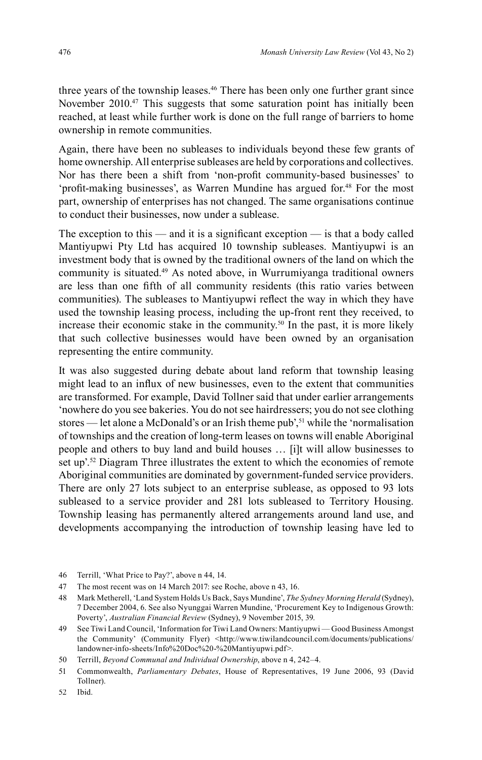three years of the township leases. 46 There has been only one further grant since November 2010. 47 This suggests that some saturation point has initially been reached, at least while further work is done on the full range of barriers to home ownership in remote communities.

Again, there have been no subleases to individuals beyond these few grants of home ownership. All enterprise subleases are held by corporations and collectives. Nor has there been a shift from 'non-profit community-based businesses' to 'profit-making businesses', as Warren Mundine has argued for.<sup>48</sup> For the most part, ownership of enterprises has not changed. The same organisations continue to conduct their businesses, now under a sublease.

The exception to this — and it is a significant exception — is that a body called Mantiyupwi Pty Ltd has acquired 10 township subleases. Mantiyupwi is an investment body that is owned by the traditional owners of the land on which the community is situated.<sup>49</sup> As noted above, in Wurrumiyanga traditional owners are less than one fifth of all community residents (this ratio varies between communities). The subleases to Mantiyupwi reflect the way in which they have used the township leasing process, including the up-front rent they received, to increase their economic stake in the community. 50 In the past, it is more likely that such collective businesses would have been owned by an organisation representing the entire community.

It was also suggested during debate about land reform that township leasing might lead to an influx of new businesses, even to the extent that communities are transformed. For example, David Tollner said that under earlier arrangements 'nowhere do you see bakeries. You do not see hairdressers; you do not see clothing stores — let alone a McDonald's or an Irish theme pub',<sup>51</sup> while the 'normalisation of townships and the creation of long-term leases on towns will enable Aboriginal people and others to buy land and build houses … [i]t will allow businesses to set up'.<sup>52</sup> Diagram Three illustrates the extent to which the economies of remote Aboriginal communities are dominated by government-funded service providers. There are only 27 lots subject to an enterprise sublease, as opposed to 93 lots subleased to a service provider and 281 lots subleased to Territory Housing. Township leasing has permanently altered arrangements around land use, and developments accompanying the introduction of township leasing have led to

<sup>46</sup> Terrill, 'What Price to Pay?', above n 44, 14.

<sup>47</sup> The most recent was on 14 March 2017: see Roche, above n 43, 16.

<sup>48</sup> Mark Metherell, 'Land System Holds Us Back, Says Mundine', *The Sydney Morning Herald* (Sydney), 7 December 2004, 6. See also Nyunggai Warren Mundine, 'Procurement Key to Indigenous Growth: Poverty', *Australian Financial Review* (Sydney), 9 November 2015, 39.

<sup>49</sup> See Tiwi Land Council, 'Information for Tiwi Land Owners: Mantiyupwi — Good Business Amongst the Community' (Community Flyer) <http://www.tiwilandcouncil.com/documents/publications/ landowner-info-sheets/Info%20Doc%20-%20Mantiyupwi.pdf>.

<sup>50</sup> Terrill, *Beyond Communal and Individual Ownership*, above n 4, 242–4.

<sup>51</sup> Commonwealth, *Parliamentary Debates*, House of Representatives, 19 June 2006, 93 (David Tollner).

<sup>52</sup> Ibid.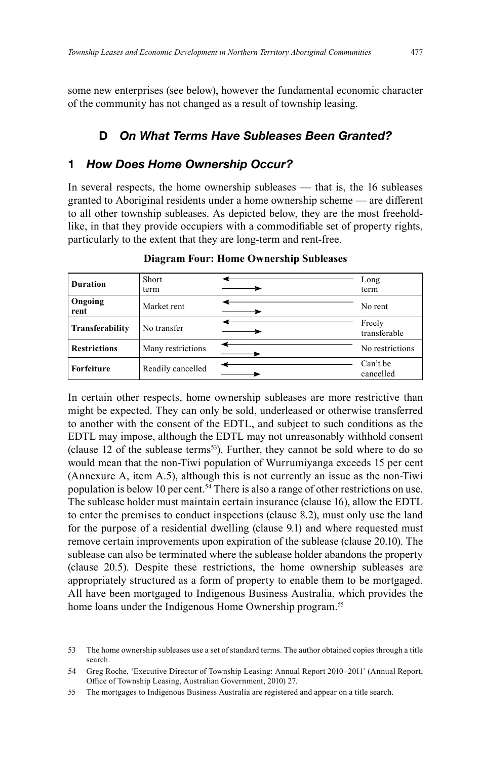some new enterprises (see below), however the fundamental economic character of the community has not changed as a result of township leasing.

### **D** *On What Terms Have Subleases Been Granted?*

### **1** *How Does Home Ownership Occur?*

In several respects, the home ownership subleases — that is, the 16 subleases granted to Aboriginal residents under a home ownership scheme — are different to all other township subleases. As depicted below, they are the most freeholdlike, in that they provide occupiers with a commodifiable set of property rights, particularly to the extent that they are long-term and rent-free.

| <b>Duration</b>     | Short<br>term     | Long<br>term           |
|---------------------|-------------------|------------------------|
| Ongoing<br>rent     | Market rent       | No rent                |
| Transferability     | No transfer       | Freely<br>transferable |
| <b>Restrictions</b> | Many restrictions | No restrictions        |
| <b>Forfeiture</b>   | Readily cancelled | Can't be<br>cancelled  |

**Diagram Four: Home Ownership Subleases**

In certain other respects, home ownership subleases are more restrictive than might be expected. They can only be sold, underleased or otherwise transferred to another with the consent of the EDTL, and subject to such conditions as the EDTL may impose, although the EDTL may not unreasonably withhold consent (clause 12 of the sublease terms53). Further, they cannot be sold where to do so would mean that the non-Tiwi population of Wurrumiyanga exceeds 15 per cent (Annexure A, item A.5), although this is not currently an issue as the non-Tiwi population is below 10 per cent.<sup>54</sup> There is also a range of other restrictions on use. The sublease holder must maintain certain insurance (clause 16), allow the EDTL to enter the premises to conduct inspections (clause 8.2), must only use the land for the purpose of a residential dwelling (clause 9.1) and where requested must remove certain improvements upon expiration of the sublease (clause 20.10). The sublease can also be terminated where the sublease holder abandons the property (clause 20.5). Despite these restrictions, the home ownership subleases are appropriately structured as a form of property to enable them to be mortgaged. All have been mortgaged to Indigenous Business Australia, which provides the home loans under the Indigenous Home Ownership program.<sup>55</sup>

<sup>53</sup> The home ownership subleases use a set of standard terms. The author obtained copies through a title search.

<sup>54</sup> Greg Roche, 'Executive Director of Township Leasing: Annual Report 2010–2011' (Annual Report, Office of Township Leasing, Australian Government, 2010) 27.

<sup>55</sup> The mortgages to Indigenous Business Australia are registered and appear on a title search.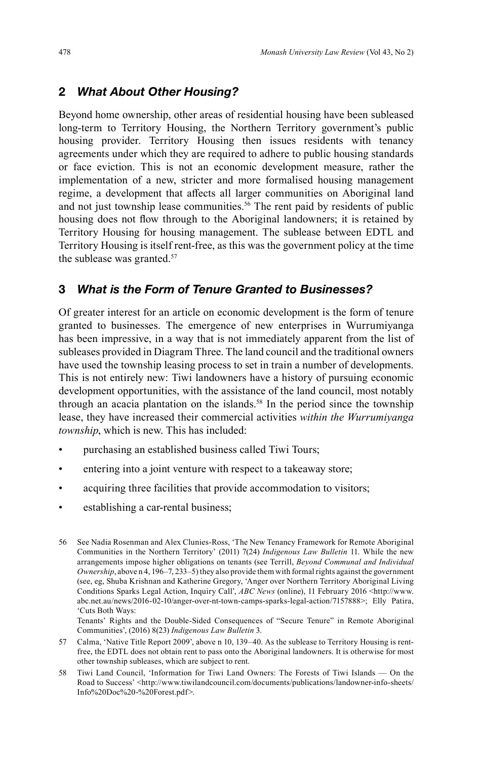## **2** *What About Other Housing?*

Beyond home ownership, other areas of residential housing have been subleased long-term to Territory Housing, the Northern Territory government's public housing provider. Territory Housing then issues residents with tenancy agreements under which they are required to adhere to public housing standards or face eviction. This is not an economic development measure, rather the implementation of a new, stricter and more formalised housing management regime, a development that affects all larger communities on Aboriginal land and not just township lease communities. 56 The rent paid by residents of public housing does not flow through to the Aboriginal landowners; it is retained by Territory Housing for housing management. The sublease between EDTL and Territory Housing is itself rent-free, as this was the government policy at the time the sublease was granted. 57

### **3** *What is the Form of Tenure Granted to Businesses?*

Of greater interest for an article on economic development is the form of tenure granted to businesses. The emergence of new enterprises in Wurrumiyanga has been impressive, in a way that is not immediately apparent from the list of subleases provided in Diagram Three. The land council and the traditional owners have used the township leasing process to set in train a number of developments. This is not entirely new: Tiwi landowners have a history of pursuing economic development opportunities, with the assistance of the land council, most notably through an acacia plantation on the islands. 58 In the period since the township lease, they have increased their commercial activities *within the Wurrumiyanga township*, which is new. This has included:

- purchasing an established business called Tiwi Tours;
- entering into a joint venture with respect to a takeaway store;
- acquiring three facilities that provide accommodation to visitors;
- establishing a car-rental business;

Tenants' Rights and the Double-Sided Consequences of "Secure Tenure" in Remote Aboriginal Communities', (2016) 8(23) *Indigenous Law Bulletin* 3.

- 57 Calma, 'Native Title Report 2009', above n 10, 139–40. As the sublease to Territory Housing is rentfree, the EDTL does not obtain rent to pass onto the Aboriginal landowners. It is otherwise for most other township subleases, which are subject to rent.
- 58 Tiwi Land Council, 'Information for Tiwi Land Owners: The Forests of Tiwi Islands On the Road to Success' <http://www.tiwilandcouncil.com/documents/publications/landowner-info-sheets/ Info%20Doc%20-%20Forest.pdf>.

<sup>56</sup> See Nadia Rosenman and Alex Clunies-Ross, 'The New Tenancy Framework for Remote Aboriginal Communities in the Northern Territory' (2011) 7(24) *Indigenous Law Bulletin* 11. While the new arrangements impose higher obligations on tenants (see Terrill, *Beyond Communal and Individual Ownership*, above n 4, 196–7, 233–5) they also provide them with formal rights against the government (see, eg, Shuba Krishnan and Katherine Gregory, 'Anger over Northern Territory Aboriginal Living Conditions Sparks Legal Action, Inquiry Call', *ABC News* (online), 11 February 2016 <http://www. abc.net.au/news/2016-02-10/anger-over-nt-town-camps-sparks-legal-action/7157888>; Elly Patira, 'Cuts Both Ways: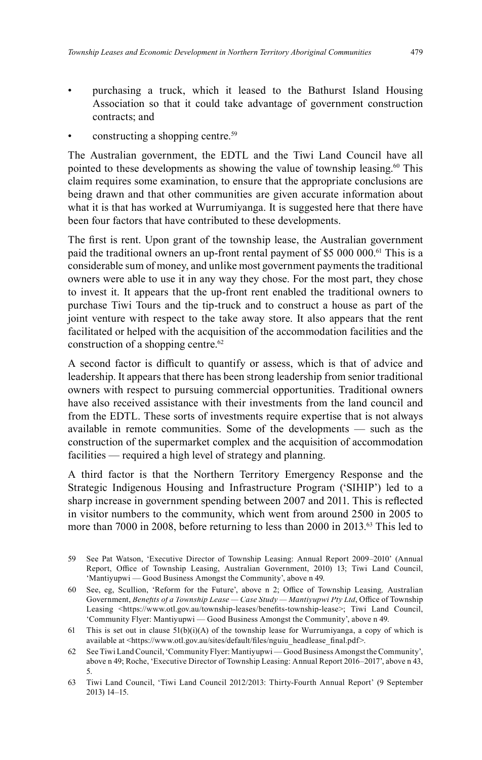- purchasing a truck, which it leased to the Bathurst Island Housing Association so that it could take advantage of government construction contracts; and
- constructing a shopping centre.<sup>59</sup>

The Australian government, the EDTL and the Tiwi Land Council have all pointed to these developments as showing the value of township leasing.60 This claim requires some examination, to ensure that the appropriate conclusions are being drawn and that other communities are given accurate information about what it is that has worked at Wurrumiyanga. It is suggested here that there have been four factors that have contributed to these developments.

The first is rent. Upon grant of the township lease, the Australian government paid the traditional owners an up-front rental payment of \$5 000 000. 61 This is a considerable sum of money, and unlike most government payments the traditional owners were able to use it in any way they chose. For the most part, they chose to invest it. It appears that the up-front rent enabled the traditional owners to purchase Tiwi Tours and the tip-truck and to construct a house as part of the joint venture with respect to the take away store. It also appears that the rent facilitated or helped with the acquisition of the accommodation facilities and the construction of a shopping centre. 62

A second factor is difficult to quantify or assess, which is that of advice and leadership. It appears that there has been strong leadership from senior traditional owners with respect to pursuing commercial opportunities. Traditional owners have also received assistance with their investments from the land council and from the EDTL. These sorts of investments require expertise that is not always available in remote communities. Some of the developments — such as the construction of the supermarket complex and the acquisition of accommodation facilities — required a high level of strategy and planning.

A third factor is that the Northern Territory Emergency Response and the Strategic Indigenous Housing and Infrastructure Program ('SIHIP') led to a sharp increase in government spending between 2007 and 2011. This is reflected in visitor numbers to the community, which went from around 2500 in 2005 to more than 7000 in 2008, before returning to less than 2000 in 2013. 63 This led to

- 59 See Pat Watson, 'Executive Director of Township Leasing: Annual Report 2009–2010' (Annual Report, Office of Township Leasing, Australian Government, 2010) 13; Tiwi Land Council, 'Mantiyupwi — Good Business Amongst the Community', above n 49.
- 60 See, eg, Scullion, 'Reform for the Future', above n 2; Office of Township Leasing, Australian Government, *Benefits of a Township Lease* — Case Study — Mantiyupwi Pty Ltd, Office of Township Leasing <https://www.otl.gov.au/township-leases/benefits-township-lease>; Tiwi Land Council, 'Community Flyer: Mantiyupwi — Good Business Amongst the Community', above n 49.
- 61 This is set out in clause  $51(b)(i)(A)$  of the township lease for Wurrumiyanga, a copy of which is available at <https://www.otl.gov.au/sites/default/files/nguiu\_headlease\_final.pdf>.
- 62 See Tiwi Land Council, 'Community Flyer: Mantiyupwi Good Business Amongst the Community', above n 49; Roche, 'Executive Director of Township Leasing: Annual Report 2016–2017', above n 43, 5.
- 63 Tiwi Land Council, 'Tiwi Land Council 2012/2013: Thirty-Fourth Annual Report' (9 September 2013) 14–15.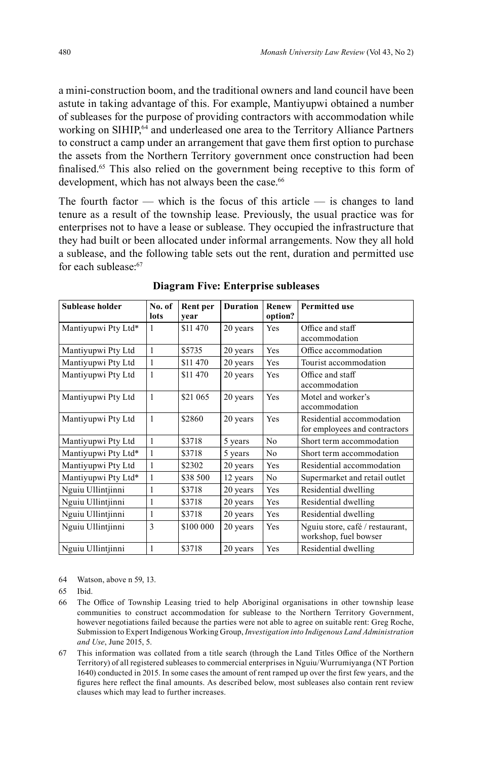a mini-construction boom, and the traditional owners and land council have been astute in taking advantage of this. For example, Mantiyupwi obtained a number of subleases for the purpose of providing contractors with accommodation while working on SIHIP,<sup>64</sup> and underleased one area to the Territory Alliance Partners to construct a camp under an arrangement that gave them first option to purchase the assets from the Northern Territory government once construction had been finalised.<sup>65</sup> This also relied on the government being receptive to this form of development, which has not always been the case.<sup>66</sup>

The fourth factor — which is the focus of this article — is changes to land tenure as a result of the township lease. Previously, the usual practice was for enterprises not to have a lease or sublease. They occupied the infrastructure that they had built or been allocated under informal arrangements. Now they all hold a sublease, and the following table sets out the rent, duration and permitted use for each sublease:<sup>67</sup>

| Sublease holder     | No. of<br>lots | Rent per<br>vear | <b>Duration</b> | <b>Renew</b><br>option? | <b>Permitted use</b>                                       |
|---------------------|----------------|------------------|-----------------|-------------------------|------------------------------------------------------------|
| Mantiyupwi Pty Ltd* | 1              | \$11 470         | 20 years        | Yes                     | Office and staff<br>accommodation                          |
| Mantiyupwi Pty Ltd  | 1              | \$5735           | 20 years        | Yes                     | Office accommodation                                       |
| Mantiyupwi Pty Ltd  | 1              | \$11 470         | 20 years        | Yes                     | Tourist accommodation                                      |
| Mantiyupwi Pty Ltd  | 1              | \$11 470         | 20 years        | Yes                     | Office and staff<br>accommodation                          |
| Mantiyupwi Pty Ltd  | $\mathbf{1}$   | \$21 065         | 20 years        | Yes                     | Motel and worker's<br>accommodation                        |
| Mantiyupwi Pty Ltd  | $\mathbf{1}$   | \$2860           | 20 years        | Yes                     | Residential accommodation<br>for employees and contractors |
| Mantiyupwi Pty Ltd  | $\mathbf{1}$   | \$3718           | 5 years         | N <sub>o</sub>          | Short term accommodation                                   |
| Mantiyupwi Pty Ltd* | 1              | \$3718           | 5 years         | N <sub>o</sub>          | Short term accommodation                                   |
| Mantiyupwi Pty Ltd  | $\mathbf{1}$   | \$2302           | 20 years        | Yes                     | Residential accommodation                                  |
| Mantiyupwi Pty Ltd* | 1              | \$38 500         | 12 years        | N <sub>o</sub>          | Supermarket and retail outlet                              |
| Nguiu Ullintjinni   | 1              | \$3718           | 20 years        | Yes                     | Residential dwelling                                       |
| Nguiu Ullintjinni   | 1              | \$3718           | 20 years        | Yes                     | Residential dwelling                                       |
| Nguiu Ullintjinni   |                | \$3718           | 20 years        | Yes                     | Residential dwelling                                       |
| Nguiu Ullintjinni   | 3              | \$100 000        | 20 years        | Yes                     | Nguiu store, café / restaurant,<br>workshop, fuel bowser   |
| Nguiu Ullintjinni   | 1              | \$3718           | 20 years        | Yes                     | Residential dwelling                                       |

**Diagram Five: Enterprise subleases**

64 Watson, above n 59, 13.

65 Ibid.

- 66 The Office of Township Leasing tried to help Aboriginal organisations in other township lease communities to construct accommodation for sublease to the Northern Territory Government, however negotiations failed because the parties were not able to agree on suitable rent: Greg Roche, Submission to Expert Indigenous Working Group, *Investigation into Indigenous Land Administration and Use*, June 2015, 5.
- 67 This information was collated from a title search (through the Land Titles Office of the Northern Territory) of all registered subleases to commercial enterprises in Nguiu/Wurrumiyanga (NT Portion 1640) conducted in 2015. In some cases the amount of rent ramped up over the first few years, and the figures here reflect the final amounts. As described below, most subleases also contain rent review clauses which may lead to further increases.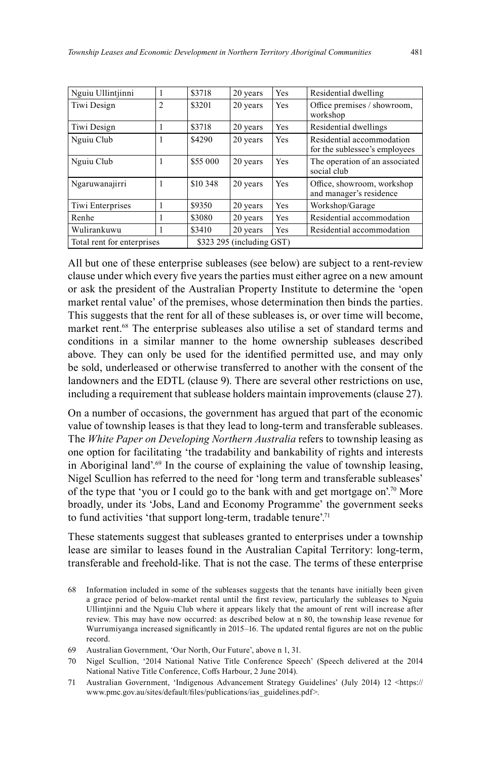| Nguiu Ullintjinni          |   | \$3718   | 20 years                  | <b>Yes</b> | Residential dwelling                                       |
|----------------------------|---|----------|---------------------------|------------|------------------------------------------------------------|
| Tiwi Design                | 2 | \$3201   | 20 years                  | <b>Yes</b> | Office premises / showroom,<br>workshop                    |
| Tiwi Design                |   | \$3718   | 20 years                  | <b>Yes</b> | Residential dwellings                                      |
| Nguiu Club                 |   | \$4290   | 20 years                  | Yes        | Residential accommodation<br>for the sublessee's employees |
| Nguiu Club                 |   | \$55 000 | 20 years                  | Yes        | The operation of an associated<br>social club              |
| Ngaruwanajirri             |   | \$10 348 | 20 years                  | Yes        | Office, showroom, workshop<br>and manager's residence      |
| Tiwi Enterprises           |   | \$9350   | 20 years                  | <b>Yes</b> | Workshop/Garage                                            |
| Renhe                      |   | \$3080   | 20 years                  | <b>Yes</b> | Residential accommodation                                  |
| Wulirankuwu                |   | \$3410   | 20 years                  | <b>Yes</b> | Residential accommodation                                  |
| Total rent for enterprises |   |          | \$323 295 (including GST) |            |                                                            |

All but one of these enterprise subleases (see below) are subject to a rent-review clause under which every five years the parties must either agree on a new amount or ask the president of the Australian Property Institute to determine the 'open market rental value' of the premises, whose determination then binds the parties. This suggests that the rent for all of these subleases is, or over time will become, market rent. 68 The enterprise subleases also utilise a set of standard terms and conditions in a similar manner to the home ownership subleases described above. They can only be used for the identified permitted use, and may only be sold, underleased or otherwise transferred to another with the consent of the landowners and the EDTL (clause 9). There are several other restrictions on use, including a requirement that sublease holders maintain improvements (clause 27).

On a number of occasions, the government has argued that part of the economic value of township leases is that they lead to long-term and transferable subleases. The *White Paper on Developing Northern Australia* refers to township leasing as one option for facilitating 'the tradability and bankability of rights and interests in Aboriginal land'. 69 In the course of explaining the value of township leasing, Nigel Scullion has referred to the need for 'long term and transferable subleases' of the type that 'you or I could go to the bank with and get mortgage on'. 70 More broadly, under its 'Jobs, Land and Economy Programme' the government seeks to fund activities 'that support long-term, tradable tenure'. 71

These statements suggest that subleases granted to enterprises under a township lease are similar to leases found in the Australian Capital Territory: long-term, transferable and freehold-like. That is not the case. The terms of these enterprise

- 68 Information included in some of the subleases suggests that the tenants have initially been given a grace period of below-market rental until the first review, particularly the subleases to Nguiu Ullintjinni and the Nguiu Club where it appears likely that the amount of rent will increase after review. This may have now occurred: as described below at n 80, the township lease revenue for Wurrumiyanga increased significantly in 2015-16. The updated rental figures are not on the public record.
- 69 Australian Government, 'Our North, Our Future', above n 1, 31.
- 70 Nigel Scullion, '2014 National Native Title Conference Speech' (Speech delivered at the 2014 National Native Title Conference, Coffs Harbour, 2 June 2014).
- 71 Australian Government, 'Indigenous Advancement Strategy Guidelines' (July 2014) 12 <https:// www.pmc.gov.au/sites/default/fi les/publications/ias\_guidelines.pdf>.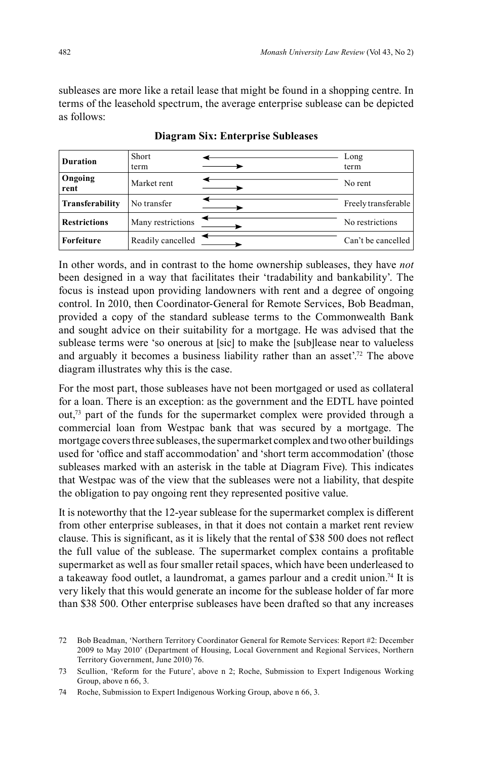subleases are more like a retail lease that might be found in a shopping centre. In terms of the leasehold spectrum, the average enterprise sublease can be depicted as follows:

| <b>Duration</b>     | Short<br>term     | Long<br>term        |
|---------------------|-------------------|---------------------|
| Ongoing<br>rent     | Market rent       | No rent             |
| Transferability     | No transfer       | Freely transferable |
| <b>Restrictions</b> | Many restrictions | No restrictions     |
| Forfeiture          | Readily cancelled | Can't be cancelled  |

**Diagram Six: Enterprise Subleases**

In other words, and in contrast to the home ownership subleases, they have *not* been designed in a way that facilitates their 'tradability and bankability'. The focus is instead upon providing landowners with rent and a degree of ongoing control. In 2010, then Coordinator-General for Remote Services, Bob Beadman, provided a copy of the standard sublease terms to the Commonwealth Bank and sought advice on their suitability for a mortgage. He was advised that the sublease terms were 'so onerous at [sic] to make the [sub]lease near to valueless and arguably it becomes a business liability rather than an asset'.<sup>72</sup> The above diagram illustrates why this is the case.

For the most part, those subleases have not been mortgaged or used as collateral for a loan. There is an exception: as the government and the EDTL have pointed out, 73 part of the funds for the supermarket complex were provided through a commercial loan from Westpac bank that was secured by a mortgage. The mortgage covers three subleases, the supermarket complex and two other buildings used for 'office and staff accommodation' and 'short term accommodation' (those subleases marked with an asterisk in the table at Diagram Five). This indicates that Westpac was of the view that the subleases were not a liability, that despite the obligation to pay ongoing rent they represented positive value.

It is noteworthy that the 12-year sublease for the supermarket complex is different from other enterprise subleases, in that it does not contain a market rent review clause. This is significant, as it is likely that the rental of \$38 500 does not reflect the full value of the sublease. The supermarket complex contains a profitable supermarket as well as four smaller retail spaces, which have been underleased to a takeaway food outlet, a laundromat, a games parlour and a credit union.<sup>74</sup> It is very likely that this would generate an income for the sublease holder of far more than \$38 500. Other enterprise subleases have been drafted so that any increases

<sup>72</sup> Bob Beadman, 'Northern Territory Coordinator General for Remote Services: Report #2: December 2009 to May 2010' (Department of Housing, Local Government and Regional Services, Northern Territory Government, June 2010) 76.

<sup>73</sup> Scullion, 'Reform for the Future', above n 2; Roche, Submission to Expert Indigenous Working Group, above n 66, 3.

<sup>74</sup> Roche, Submission to Expert Indigenous Working Group, above n 66, 3.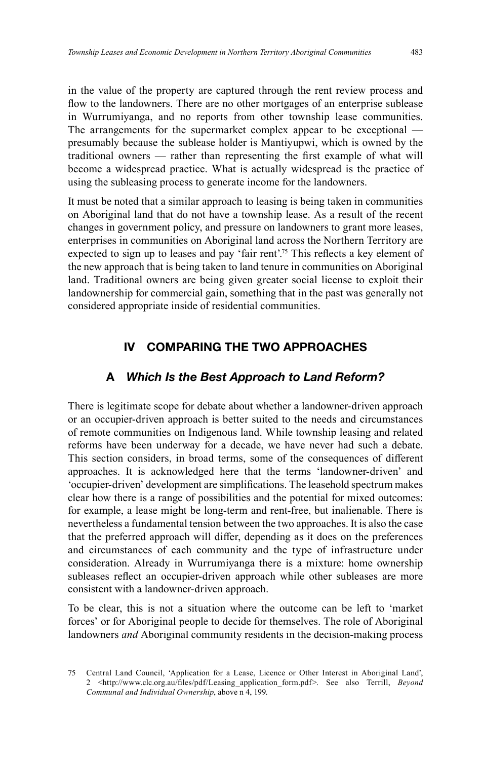in the value of the property are captured through the rent review process and flow to the landowners. There are no other mortgages of an enterprise sublease in Wurrumiyanga, and no reports from other township lease communities. The arrangements for the supermarket complex appear to be exceptional presumably because the sublease holder is Mantiyupwi, which is owned by the traditional owners  $-$  rather than representing the first example of what will become a widespread practice. What is actually widespread is the practice of using the subleasing process to generate income for the landowners.

It must be noted that a similar approach to leasing is being taken in communities on Aboriginal land that do not have a township lease. As a result of the recent changes in government policy, and pressure on landowners to grant more leases, enterprises in communities on Aboriginal land across the Northern Territory are expected to sign up to leases and pay 'fair rent'.<sup>75</sup> This reflects a key element of the new approach that is being taken to land tenure in communities on Aboriginal land. Traditional owners are being given greater social license to exploit their landownership for commercial gain, something that in the past was generally not considered appropriate inside of residential communities.

### **IV COMPARING THE TWO APPROACHES**

### **A** *Which Is the Best Approach to Land Reform?*

There is legitimate scope for debate about whether a landowner-driven approach or an occupier-driven approach is better suited to the needs and circumstances of remote communities on Indigenous land. While township leasing and related reforms have been underway for a decade, we have never had such a debate. This section considers, in broad terms, some of the consequences of different approaches. It is acknowledged here that the terms 'landowner-driven' and 'occupier-driven' development are simplifications. The leasehold spectrum makes clear how there is a range of possibilities and the potential for mixed outcomes: for example, a lease might be long-term and rent-free, but inalienable. There is nevertheless a fundamental tension between the two approaches. It is also the case that the preferred approach will differ, depending as it does on the preferences and circumstances of each community and the type of infrastructure under consideration. Already in Wurrumiyanga there is a mixture: home ownership subleases reflect an occupier-driven approach while other subleases are more consistent with a landowner-driven approach.

To be clear, this is not a situation where the outcome can be left to 'market forces' or for Aboriginal people to decide for themselves. The role of Aboriginal landowners *and* Aboriginal community residents in the decision-making process

<sup>75</sup> Central Land Council, 'Application for a Lease, Licence or Other Interest in Aboriginal Land', 2 <http://www.clc.org.au/fi les/pdf/Leasing\_application\_form.pdf>. See also Terrill, *Beyond Communal and Individual Ownership*, above n 4, 199.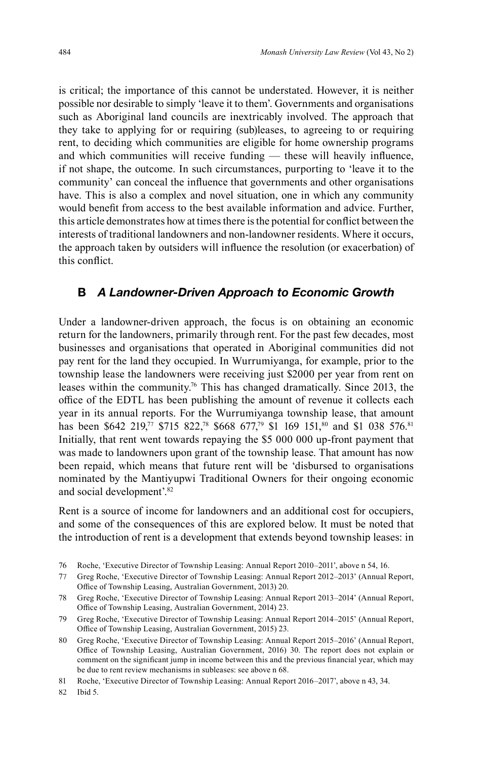is critical; the importance of this cannot be understated. However, it is neither possible nor desirable to simply 'leave it to them'. Governments and organisations such as Aboriginal land councils are inextricably involved. The approach that they take to applying for or requiring (sub)leases, to agreeing to or requiring rent, to deciding which communities are eligible for home ownership programs and which communities will receive funding — these will heavily influence, if not shape, the outcome. In such circumstances, purporting to 'leave it to the community' can conceal the influence that governments and other organisations have. This is also a complex and novel situation, one in which any community would benefit from access to the best available information and advice. Further, this article demonstrates how at times there is the potential for conflict between the interests of traditional landowners and non-landowner residents. Where it occurs, the approach taken by outsiders will influence the resolution (or exacerbation) of this conflict.

#### **B** *A Landowner-Driven Approach to Economic Growth*

Under a landowner-driven approach, the focus is on obtaining an economic return for the landowners, primarily through rent. For the past few decades, most businesses and organisations that operated in Aboriginal communities did not pay rent for the land they occupied. In Wurrumiyanga, for example, prior to the township lease the landowners were receiving just \$2000 per year from rent on leases within the community. 76 This has changed dramatically. Since 2013, the office of the EDTL has been publishing the amount of revenue it collects each year in its annual reports. For the Wurrumiyanga township lease, that amount has been \$642 219,<sup>77</sup> \$715 822,<sup>78</sup> \$668 677,<sup>79</sup> \$1 169 151,<sup>80</sup> and \$1 038 576.<sup>81</sup> Initially, that rent went towards repaying the \$5 000 000 up-front payment that was made to landowners upon grant of the township lease. That amount has now been repaid, which means that future rent will be 'disbursed to organisations nominated by the Mantiyupwi Traditional Owners for their ongoing economic and social development'. 82

Rent is a source of income for landowners and an additional cost for occupiers, and some of the consequences of this are explored below. It must be noted that the introduction of rent is a development that extends beyond township leases: in

<sup>76</sup> Roche, 'Executive Director of Township Leasing: Annual Report 2010–2011', above n 54, 16.

<sup>77</sup> Greg Roche, 'Executive Director of Township Leasing: Annual Report 2012–2013' (Annual Report, Office of Township Leasing, Australian Government, 2013) 20.

<sup>78</sup> Greg Roche, 'Executive Director of Township Leasing: Annual Report 2013–2014' (Annual Report, Office of Township Leasing, Australian Government, 2014) 23.

<sup>79</sup> Greg Roche, 'Executive Director of Township Leasing: Annual Report 2014–2015' (Annual Report, Office of Township Leasing, Australian Government, 2015) 23.

<sup>80</sup> Greg Roche, 'Executive Director of Township Leasing: Annual Report 2015–2016' (Annual Report, Office of Township Leasing, Australian Government, 2016) 30. The report does not explain or comment on the significant jump in income between this and the previous financial year, which may be due to rent review mechanisms in subleases: see above n 68.

<sup>81</sup> Roche, 'Executive Director of Township Leasing: Annual Report 2016–2017', above n 43, 34.

<sup>82</sup> Ibid 5.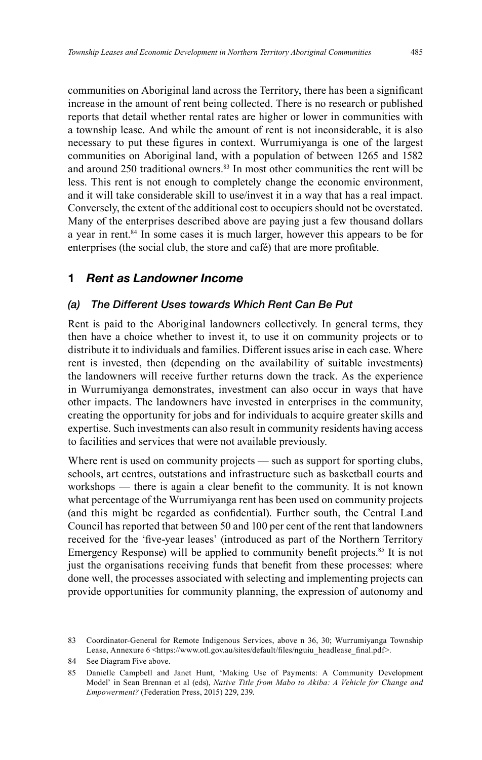communities on Aboriginal land across the Territory, there has been a significant increase in the amount of rent being collected. There is no research or published reports that detail whether rental rates are higher or lower in communities with a township lease. And while the amount of rent is not inconsiderable, it is also necessary to put these figures in context. Wurrumiyanga is one of the largest communities on Aboriginal land, with a population of between 1265 and 1582 and around 250 traditional owners.<sup>83</sup> In most other communities the rent will be less. This rent is not enough to completely change the economic environment, and it will take considerable skill to use/invest it in a way that has a real impact. Conversely, the extent of the additional cost to occupiers should not be overstated. Many of the enterprises described above are paying just a few thousand dollars a year in rent. 84 In some cases it is much larger, however this appears to be for enterprises (the social club, the store and café) that are more profitable.

#### **1** *Rent as Landowner Income*

#### *(a) The Different Uses towards Which Rent Can Be Put*

Rent is paid to the Aboriginal landowners collectively. In general terms, they then have a choice whether to invest it, to use it on community projects or to distribute it to individuals and families. Different issues arise in each case. Where rent is invested, then (depending on the availability of suitable investments) the landowners will receive further returns down the track. As the experience in Wurrumiyanga demonstrates, investment can also occur in ways that have other impacts. The landowners have invested in enterprises in the community, creating the opportunity for jobs and for individuals to acquire greater skills and expertise. Such investments can also result in community residents having access to facilities and services that were not available previously.

Where rent is used on community projects — such as support for sporting clubs, schools, art centres, outstations and infrastructure such as basketball courts and workshops — there is again a clear benefit to the community. It is not known what percentage of the Wurrumiyanga rent has been used on community projects (and this might be regarded as confidential). Further south, the Central Land Council has reported that between 50 and 100 per cent of the rent that landowners received for the 'five-year leases' (introduced as part of the Northern Territory Emergency Response) will be applied to community benefit projects.<sup>85</sup> It is not just the organisations receiving funds that benefit from these processes: where done well, the processes associated with selecting and implementing projects can provide opportunities for community planning, the expression of autonomy and

<sup>83</sup> Coordinator-General for Remote Indigenous Services, above n 36, 30; Wurrumiyanga Township Lease, Annexure 6 <https://www.otl.gov.au/sites/default/files/nguiu\_headlease\_final.pdf>.

<sup>84</sup> See Diagram Five above.

<sup>85</sup> Danielle Campbell and Janet Hunt, 'Making Use of Payments: A Community Development Model' in Sean Brennan et al (eds), *Native Title from Mabo to Akiba: A Vehicle for Change and Empowerment?* (Federation Press, 2015) 229, 239.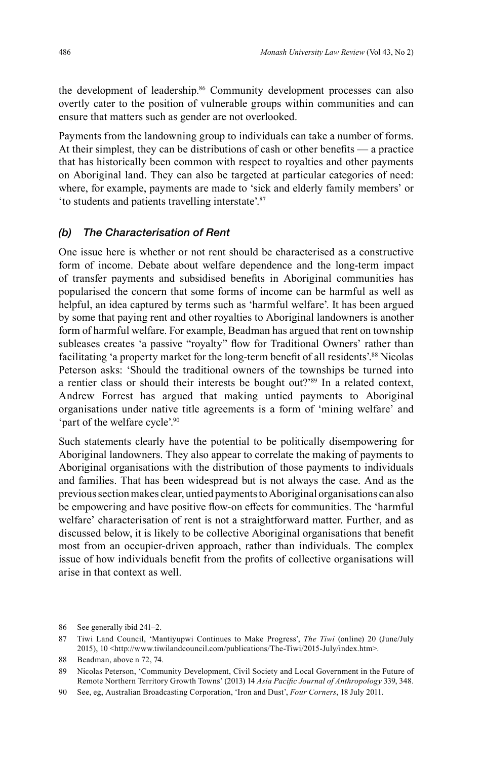the development of leadership. 86 Community development processes can also overtly cater to the position of vulnerable groups within communities and can ensure that matters such as gender are not overlooked.

Payments from the landowning group to individuals can take a number of forms. At their simplest, they can be distributions of cash or other benefits  $-$  a practice that has historically been common with respect to royalties and other payments on Aboriginal land. They can also be targeted at particular categories of need: where, for example, payments are made to 'sick and elderly family members' or 'to students and patients travelling interstate'. 87

#### *(b) The Characterisation of Rent*

One issue here is whether or not rent should be characterised as a constructive form of income. Debate about welfare dependence and the long-term impact of transfer payments and subsidised benefits in Aboriginal communities has popularised the concern that some forms of income can be harmful as well as helpful, an idea captured by terms such as 'harmful welfare'. It has been argued by some that paying rent and other royalties to Aboriginal landowners is another form of harmful welfare. For example, Beadman has argued that rent on township subleases creates 'a passive "royalty" flow for Traditional Owners' rather than facilitating 'a property market for the long-term benefit of all residents'.<sup>88</sup> Nicolas Peterson asks: 'Should the traditional owners of the townships be turned into a rentier class or should their interests be bought out?' 89 In a related context, Andrew Forrest has argued that making untied payments to Aboriginal organisations under native title agreements is a form of 'mining welfare' and 'part of the welfare cycle'. 90

Such statements clearly have the potential to be politically disempowering for Aboriginal landowners. They also appear to correlate the making of payments to Aboriginal organisations with the distribution of those payments to individuals and families. That has been widespread but is not always the case. And as the previous section makes clear, untied payments to Aboriginal organisations can also be empowering and have positive flow-on effects for communities. The 'harmful welfare' characterisation of rent is not a straightforward matter. Further, and as discussed below, it is likely to be collective Aboriginal organisations that benefit most from an occupier-driven approach, rather than individuals. The complex issue of how individuals benefit from the profits of collective organisations will arise in that context as well.

<sup>86</sup> See generally ibid 241–2.

<sup>87</sup> Tiwi Land Council, 'Mantiyupwi Continues to Make Progress', *The Tiwi* (online) 20 (June/July 2015), 10 <http://www.tiwilandcouncil.com/publications/The-Tiwi/2015-July/index.htm>.

<sup>88</sup> Beadman, above n 72, 74.

<sup>89</sup> Nicolas Peterson, 'Community Development, Civil Society and Local Government in the Future of Remote Northern Territory Growth Towns' (2013) 14 *Asia Pacifi c Journal of Anthropology* 339, 348.

<sup>90</sup> See, eg, Australian Broadcasting Corporation, 'Iron and Dust', *Four Corners*, 18 July 2011.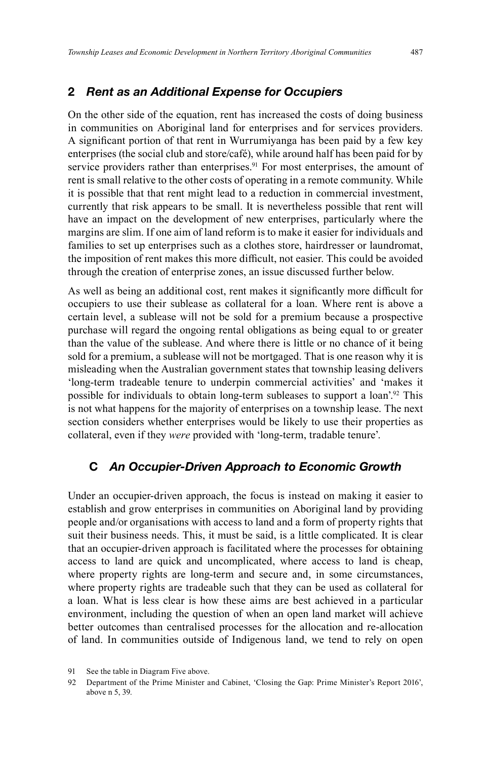### **2** *Rent as an Additional Expense for Occupiers*

On the other side of the equation, rent has increased the costs of doing business in communities on Aboriginal land for enterprises and for services providers. A significant portion of that rent in Wurrumiyanga has been paid by a few key enterprises (the social club and store/café), while around half has been paid for by service providers rather than enterprises.<sup>91</sup> For most enterprises, the amount of rent is small relative to the other costs of operating in a remote community. While it is possible that that rent might lead to a reduction in commercial investment, currently that risk appears to be small. It is nevertheless possible that rent will have an impact on the development of new enterprises, particularly where the margins are slim. If one aim of land reform is to make it easier for individuals and families to set up enterprises such as a clothes store, hairdresser or laundromat, the imposition of rent makes this more difficult, not easier. This could be avoided through the creation of enterprise zones, an issue discussed further below.

As well as being an additional cost, rent makes it significantly more difficult for occupiers to use their sublease as collateral for a loan. Where rent is above a certain level, a sublease will not be sold for a premium because a prospective purchase will regard the ongoing rental obligations as being equal to or greater than the value of the sublease. And where there is little or no chance of it being sold for a premium, a sublease will not be mortgaged. That is one reason why it is misleading when the Australian government states that township leasing delivers 'long-term tradeable tenure to underpin commercial activities' and 'makes it possible for individuals to obtain long-term subleases to support a loan'.<sup>92</sup> This is not what happens for the majority of enterprises on a township lease. The next section considers whether enterprises would be likely to use their properties as collateral, even if they *were* provided with 'long-term, tradable tenure'.

#### **C** *An Occupier-Driven Approach to Economic Growth*

Under an occupier-driven approach, the focus is instead on making it easier to establish and grow enterprises in communities on Aboriginal land by providing people and/or organisations with access to land and a form of property rights that suit their business needs. This, it must be said, is a little complicated. It is clear that an occupier-driven approach is facilitated where the processes for obtaining access to land are quick and uncomplicated, where access to land is cheap, where property rights are long-term and secure and, in some circumstances, where property rights are tradeable such that they can be used as collateral for a loan. What is less clear is how these aims are best achieved in a particular environment, including the question of when an open land market will achieve better outcomes than centralised processes for the allocation and re-allocation of land. In communities outside of Indigenous land, we tend to rely on open

<sup>91</sup> See the table in Diagram Five above.

<sup>92</sup> Department of the Prime Minister and Cabinet, 'Closing the Gap: Prime Minister's Report 2016', above n 5, 39.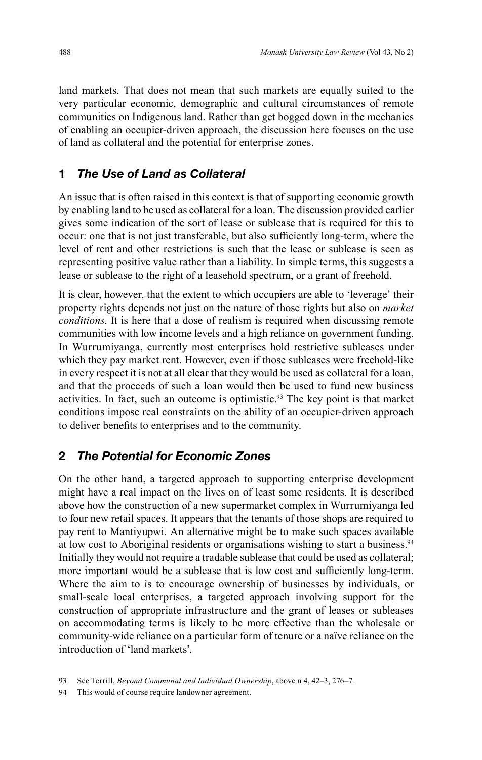land markets. That does not mean that such markets are equally suited to the very particular economic, demographic and cultural circumstances of remote communities on Indigenous land. Rather than get bogged down in the mechanics of enabling an occupier-driven approach, the discussion here focuses on the use of land as collateral and the potential for enterprise zones.

### **1** *The Use of Land as Collateral*

An issue that is often raised in this context is that of supporting economic growth by enabling land to be used as collateral for a loan. The discussion provided earlier gives some indication of the sort of lease or sublease that is required for this to occur: one that is not just transferable, but also sufficiently long-term, where the level of rent and other restrictions is such that the lease or sublease is seen as representing positive value rather than a liability. In simple terms, this suggests a lease or sublease to the right of a leasehold spectrum, or a grant of freehold.

It is clear, however, that the extent to which occupiers are able to 'leverage' their property rights depends not just on the nature of those rights but also on *market conditions*. It is here that a dose of realism is required when discussing remote communities with low income levels and a high reliance on government funding. In Wurrumiyanga, currently most enterprises hold restrictive subleases under which they pay market rent. However, even if those subleases were freehold-like in every respect it is not at all clear that they would be used as collateral for a loan, and that the proceeds of such a loan would then be used to fund new business activities. In fact, such an outcome is optimistic. 93 The key point is that market conditions impose real constraints on the ability of an occupier-driven approach to deliver benefits to enterprises and to the community.

### **2** *The Potential for Economic Zones*

On the other hand, a targeted approach to supporting enterprise development might have a real impact on the lives on of least some residents. It is described above how the construction of a new supermarket complex in Wurrumiyanga led to four new retail spaces. It appears that the tenants of those shops are required to pay rent to Mantiyupwi. An alternative might be to make such spaces available at low cost to Aboriginal residents or organisations wishing to start a business.<sup>94</sup> Initially they would not require a tradable sublease that could be used as collateral; more important would be a sublease that is low cost and sufficiently long-term. Where the aim to is to encourage ownership of businesses by individuals, or small-scale local enterprises, a targeted approach involving support for the construction of appropriate infrastructure and the grant of leases or subleases on accommodating terms is likely to be more effective than the wholesale or community-wide reliance on a particular form of tenure or a naïve reliance on the introduction of 'land markets'.

<sup>93</sup> See Terrill, *Beyond Communal and Individual Ownership*, above n 4, 42–3, 276–7.

<sup>94</sup> This would of course require landowner agreement.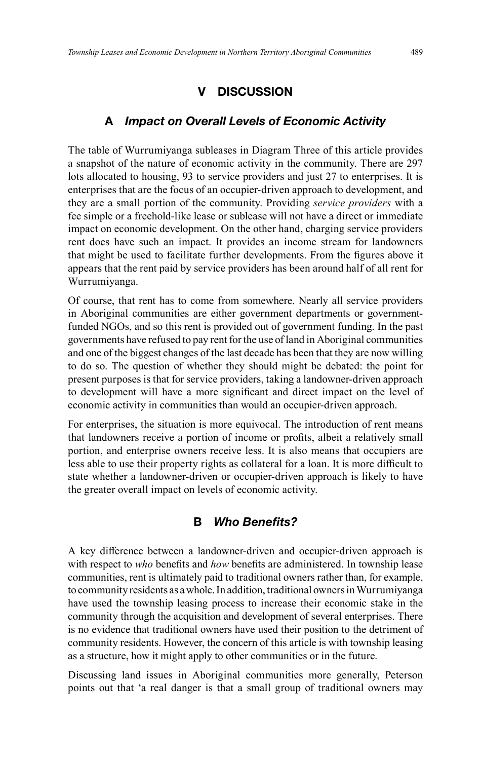## **V DISCUSSION**

#### **A** *Impact on Overall Levels of Economic Activity*

The table of Wurrumiyanga subleases in Diagram Three of this article provides a snapshot of the nature of economic activity in the community. There are 297 lots allocated to housing, 93 to service providers and just 27 to enterprises. It is enterprises that are the focus of an occupier-driven approach to development, and they are a small portion of the community. Providing *service providers* with a fee simple or a freehold-like lease or sublease will not have a direct or immediate impact on economic development. On the other hand, charging service providers rent does have such an impact. It provides an income stream for landowners that might be used to facilitate further developments. From the figures above it appears that the rent paid by service providers has been around half of all rent for Wurrumiyanga.

Of course, that rent has to come from somewhere. Nearly all service providers in Aboriginal communities are either government departments or governmentfunded NGOs, and so this rent is provided out of government funding. In the past governments have refused to pay rent for the use of land in Aboriginal communities and one of the biggest changes of the last decade has been that they are now willing to do so. The question of whether they should might be debated: the point for present purposes is that for service providers, taking a landowner-driven approach to development will have a more significant and direct impact on the level of economic activity in communities than would an occupier-driven approach.

For enterprises, the situation is more equivocal. The introduction of rent means that landowners receive a portion of income or profits, albeit a relatively small portion, and enterprise owners receive less. It is also means that occupiers are less able to use their property rights as collateral for a loan. It is more difficult to state whether a landowner-driven or occupier-driven approach is likely to have the greater overall impact on levels of economic activity.

### **B** Who Benefits?

A key difference between a landowner-driven and occupier-driven approach is with respect to *who* benefits and *how* benefits are administered. In township lease communities, rent is ultimately paid to traditional owners rather than, for example, to community residents as a whole. In addition, traditional owners in Wurrumiyanga have used the township leasing process to increase their economic stake in the community through the acquisition and development of several enterprises. There is no evidence that traditional owners have used their position to the detriment of community residents. However, the concern of this article is with township leasing as a structure, how it might apply to other communities or in the future.

Discussing land issues in Aboriginal communities more generally, Peterson points out that 'a real danger is that a small group of traditional owners may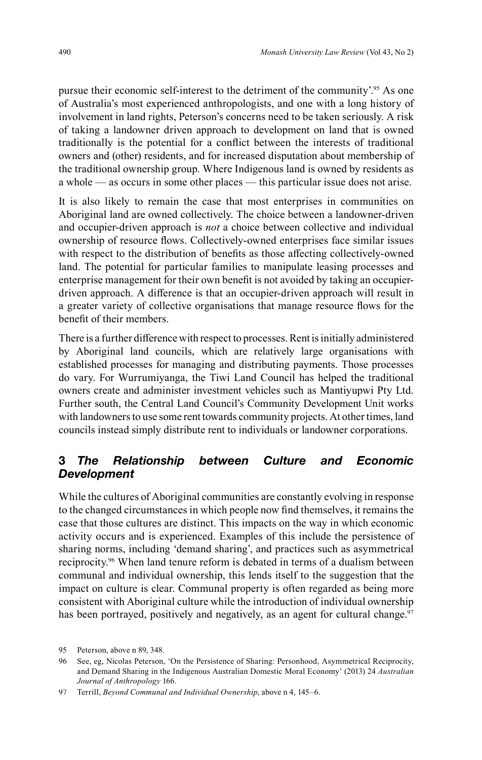pursue their economic self-interest to the detriment of the community'. 95 As one of Australia's most experienced anthropologists, and one with a long history of involvement in land rights, Peterson's concerns need to be taken seriously. A risk of taking a landowner driven approach to development on land that is owned traditionally is the potential for a conflict between the interests of traditional owners and (other) residents, and for increased disputation about membership of the traditional ownership group. Where Indigenous land is owned by residents as a whole — as occurs in some other places — this particular issue does not arise.

It is also likely to remain the case that most enterprises in communities on Aboriginal land are owned collectively. The choice between a landowner-driven and occupier-driven approach is *not* a choice between collective and individual ownership of resource flows. Collectively-owned enterprises face similar issues with respect to the distribution of benefits as those affecting collectively-owned land. The potential for particular families to manipulate leasing processes and enterprise management for their own benefit is not avoided by taking an occupierdriven approach. A difference is that an occupier-driven approach will result in a greater variety of collective organisations that manage resource flows for the benefit of their members.

There is a further difference with respect to processes. Rent is initially administered by Aboriginal land councils, which are relatively large organisations with established processes for managing and distributing payments. Those processes do vary. For Wurrumiyanga, the Tiwi Land Council has helped the traditional owners create and administer investment vehicles such as Mantiyupwi Pty Ltd. Further south, the Central Land Council's Community Development Unit works with landowners to use some rent towards community projects. At other times, land councils instead simply distribute rent to individuals or landowner corporations.

## **3** *The Relationship between Culture and Economic Development*

While the cultures of Aboriginal communities are constantly evolving in response to the changed circumstances in which people now find themselves, it remains the case that those cultures are distinct. This impacts on the way in which economic activity occurs and is experienced. Examples of this include the persistence of sharing norms, including 'demand sharing', and practices such as asymmetrical reciprocity. <sup>96</sup> When land tenure reform is debated in terms of a dualism between communal and individual ownership, this lends itself to the suggestion that the impact on culture is clear. Communal property is often regarded as being more consistent with Aboriginal culture while the introduction of individual ownership has been portrayed, positively and negatively, as an agent for cultural change.<sup>97</sup>

<sup>95</sup> Peterson, above n 89, 348.

<sup>96</sup> See, eg, Nicolas Peterson, 'On the Persistence of Sharing: Personhood, Asymmetrical Reciprocity, and Demand Sharing in the Indigenous Australian Domestic Moral Economy' (2013) 24 *Australian Journal of Anthropology* 166.

<sup>97</sup> Terrill, *Beyond Communal and Individual Ownership*, above n 4, 145–6.